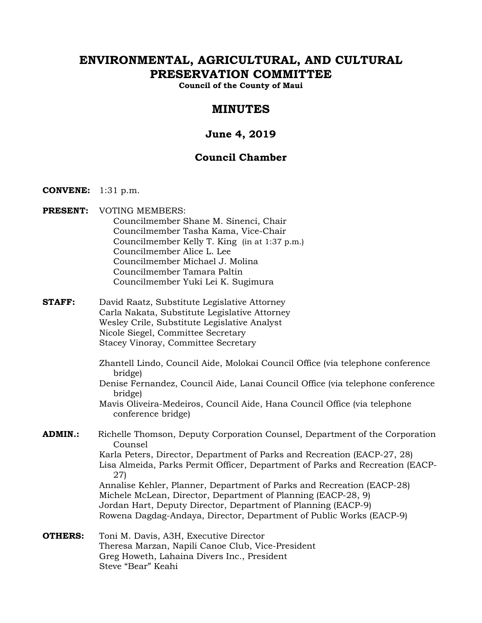# **ENVIRONMENTAL, AGRICULTURAL, AND CULTURAL PRESERVATION COMMITTEE**

**Council of the County of Maui** 

# **MINUTES**

# **June 4, 2019**

# **Council Chamber**

- **CONVENE:** 1:31 p.m.
- **PRESENT:** VOTING MEMBERS:
	- Councilmember Shane M. Sinenci, Chair Councilmember Tasha Kama, Vice-Chair Councilmember Kelly T. King (in at 1:37 p.m.) Councilmember Alice L. Lee Councilmember Michael J. Molina Councilmember Tamara Paltin Councilmember Yuki Lei K. Sugimura
- **STAFF:** David Raatz, Substitute Legislative Attorney Carla Nakata, Substitute Legislative Attorney Wesley Crile, Substitute Legislative Analyst Nicole Siegel, Committee Secretary Stacey Vinoray, Committee Secretary
	- Zhantell Lindo, Council Aide, Molokai Council Office (via telephone conference bridge)
	- Denise Fernandez, Council Aide, Lanai Council Office (via telephone conference bridge)
	- Mavis Oliveira-Medeiros, Council Aide, Hana Council Office (via telephone conference bridge)
- **ADMIN.:** Richelle Thomson, Deputy Corporation Counsel, Department of the Corporation Counsel Karla Peters, Director, Department of Parks and Recreation (EACP-27, 28) Lisa Almeida, Parks Permit Officer, Department of Parks and Recreation (EACP-27) Annalise Kehler, Planner, Department of Parks and Recreation (EACP-28) Michele McLean, Director, Department of Planning (EACP-28, 9) Jordan Hart, Deputy Director, Department of Planning (EACP-9)

Rowena Dagdag-Andaya, Director, Department of Public Works (EACP-9)

**OTHERS:** Toni M. Davis, A3H, Executive Director Theresa Marzan, Napili Canoe Club, Vice-President Greg Howeth, Lahaina Divers Inc., President Steve "Bear" Keahi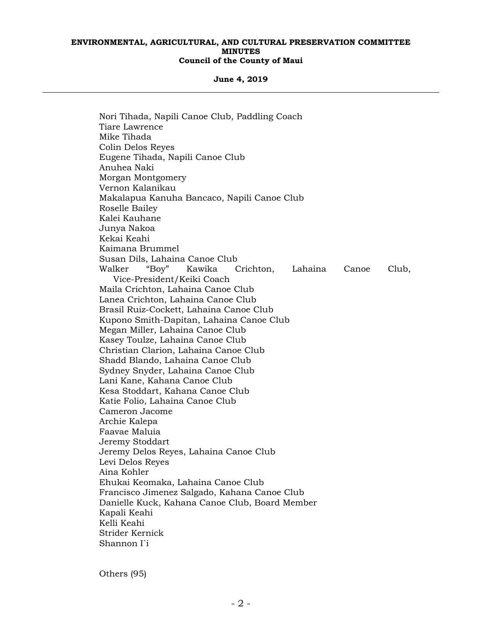#### **June 4, 2019**

 Nori Tihada, Napili Canoe Club, Paddling Coach Tiare Lawrence Mike Tihada Colin Delos Reyes Eugene Tihada, Napili Canoe Club Anuhea Naki Morgan Montgomery Vernon Kalanikau Makalapua Kanuha Bancaco, Napili Canoe Club Roselle Bailey Kalei Kauhane Junya Nakoa Kekai Keahi Kaimana Brummel Susan Dils, Lahaina Canoe Club Walker "Boy" Kawika Crichton, Lahaina Canoe Club, Vice-President/Keiki Coach Maila Crichton, Lahaina Canoe Club Lanea Crichton, Lahaina Canoe Club Brasil Ruiz-Cockett, Lahaina Canoe Club Kupono Smith-Dapitan, Lahaina Canoe Club Megan Miller, Lahaina Canoe Club Kasey Toulze, Lahaina Canoe Club Christian Clarion, Lahaina Canoe Club Shadd Blando, Lahaina Canoe Club Sydney Snyder, Lahaina Canoe Club Lani Kane, Kahana Canoe Club Kesa Stoddart, Kahana Canoe Club Katie Folio, Lahaina Canoe Club Cameron Jacome Archie Kalepa Faavae Maluia Jeremy Stoddart Jeremy Delos Reyes, Lahaina Canoe Club Levi Delos Reyes Aina Kohler Ehukai Keomaka, Lahaina Canoe Club Francisco Jimenez Salgado, Kahana Canoe Club Danielle Kuck, Kahana Canoe Club, Board Member Kapali Keahi Kelli Keahi Strider Kernick Shannon I`i

Others (95)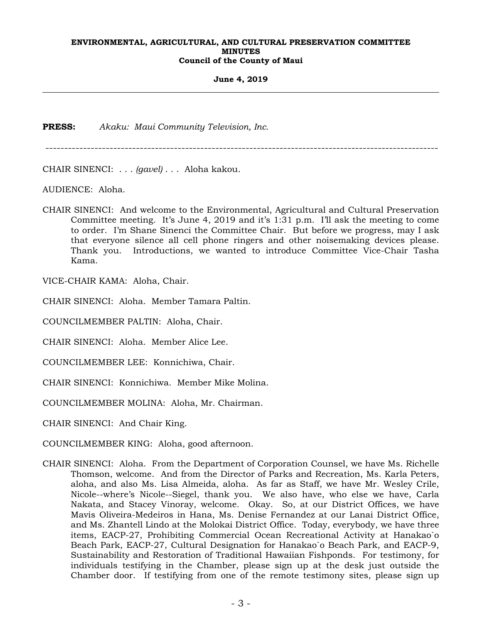**June 4, 2019** 

**PRESS:** *Akaku: Maui Community Television, Inc.*

--------------------------------------------------------------------------------------------------------

CHAIR SINENCI: . . . *(gavel)* . . . Aloha kakou.

AUDIENCE: Aloha.

CHAIR SINENCI: And welcome to the Environmental, Agricultural and Cultural Preservation Committee meeting. It's June 4, 2019 and it's 1:31 p.m. I'll ask the meeting to come to order. I'm Shane Sinenci the Committee Chair. But before we progress, may I ask that everyone silence all cell phone ringers and other noisemaking devices please. Thank you. Introductions, we wanted to introduce Committee Vice-Chair Tasha Kama.

VICE-CHAIR KAMA: Aloha, Chair.

CHAIR SINENCI: Aloha. Member Tamara Paltin.

COUNCILMEMBER PALTIN: Aloha, Chair.

CHAIR SINENCI: Aloha. Member Alice Lee.

COUNCILMEMBER LEE: Konnichiwa, Chair.

CHAIR SINENCI: Konnichiwa. Member Mike Molina.

COUNCILMEMBER MOLINA: Aloha, Mr. Chairman.

CHAIR SINENCI: And Chair King.

COUNCILMEMBER KING: Aloha, good afternoon.

CHAIR SINENCI: Aloha. From the Department of Corporation Counsel, we have Ms. Richelle Thomson, welcome. And from the Director of Parks and Recreation, Ms. Karla Peters, aloha, and also Ms. Lisa Almeida, aloha. As far as Staff, we have Mr. Wesley Crile, Nicole--where's Nicole--Siegel, thank you. We also have, who else we have, Carla Nakata, and Stacey Vinoray, welcome. Okay. So, at our District Offices, we have Mavis Oliveira-Medeiros in Hana, Ms. Denise Fernandez at our Lanai District Office, and Ms. Zhantell Lindo at the Molokai District Office. Today, everybody, we have three items, EACP-27, Prohibiting Commercial Ocean Recreational Activity at Hanakao`o Beach Park, EACP-27, Cultural Designation for Hanakao`o Beach Park, and EACP-9, Sustainability and Restoration of Traditional Hawaiian Fishponds. For testimony, for individuals testifying in the Chamber, please sign up at the desk just outside the Chamber door. If testifying from one of the remote testimony sites, please sign up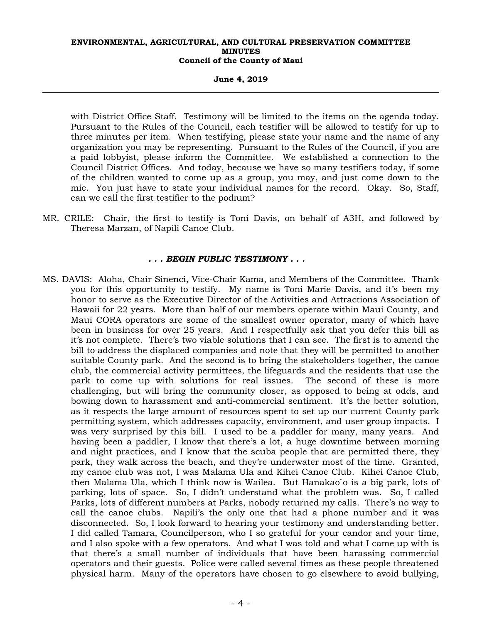**June 4, 2019** 

with District Office Staff. Testimony will be limited to the items on the agenda today. Pursuant to the Rules of the Council, each testifier will be allowed to testify for up to three minutes per item. When testifying, please state your name and the name of any organization you may be representing. Pursuant to the Rules of the Council, if you are a paid lobbyist, please inform the Committee. We established a connection to the Council District Offices. And today, because we have so many testifiers today, if some of the children wanted to come up as a group, you may, and just come down to the mic. You just have to state your individual names for the record. Okay. So, Staff, can we call the first testifier to the podium?

MR. CRILE: Chair, the first to testify is Toni Davis, on behalf of A3H, and followed by Theresa Marzan, of Napili Canoe Club.

## *. . . BEGIN PUBLIC TESTIMONY . . .*

MS. DAVIS: Aloha, Chair Sinenci, Vice-Chair Kama, and Members of the Committee. Thank you for this opportunity to testify. My name is Toni Marie Davis, and it's been my honor to serve as the Executive Director of the Activities and Attractions Association of Hawaii for 22 years. More than half of our members operate within Maui County, and Maui CORA operators are some of the smallest owner operator, many of which have been in business for over 25 years. And I respectfully ask that you defer this bill as it's not complete. There's two viable solutions that I can see. The first is to amend the bill to address the displaced companies and note that they will be permitted to another suitable County park. And the second is to bring the stakeholders together, the canoe club, the commercial activity permittees, the lifeguards and the residents that use the park to come up with solutions for real issues. The second of these is more challenging, but will bring the community closer, as opposed to being at odds, and bowing down to harassment and anti-commercial sentiment. It's the better solution, as it respects the large amount of resources spent to set up our current County park permitting system, which addresses capacity, environment, and user group impacts. I was very surprised by this bill. I used to be a paddler for many, many years. And having been a paddler, I know that there's a lot, a huge downtime between morning and night practices, and I know that the scuba people that are permitted there, they park, they walk across the beach, and they're underwater most of the time. Granted, my canoe club was not, I was Malama Ula and Kihei Canoe Club. Kihei Canoe Club, then Malama Ula, which I think now is Wailea. But Hanakao`o is a big park, lots of parking, lots of space. So, I didn't understand what the problem was. So, I called Parks, lots of different numbers at Parks, nobody returned my calls. There's no way to call the canoe clubs. Napili's the only one that had a phone number and it was disconnected. So, I look forward to hearing your testimony and understanding better. I did called Tamara, Councilperson, who I so grateful for your candor and your time, and I also spoke with a few operators. And what I was told and what I came up with is that there's a small number of individuals that have been harassing commercial operators and their guests. Police were called several times as these people threatened physical harm. Many of the operators have chosen to go elsewhere to avoid bullying,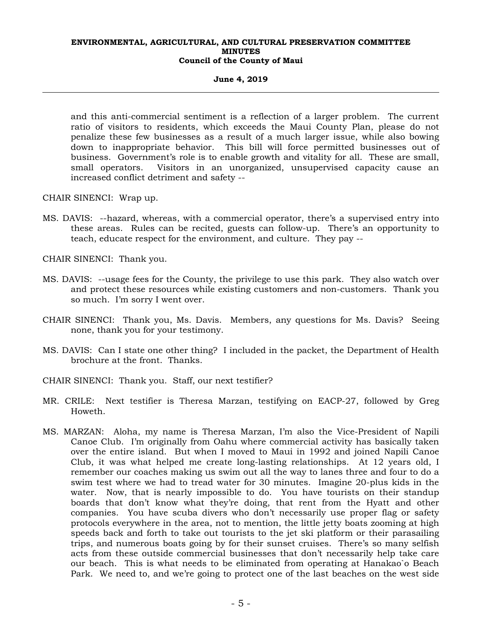#### **June 4, 2019**

and this anti-commercial sentiment is a reflection of a larger problem. The current ratio of visitors to residents, which exceeds the Maui County Plan, please do not penalize these few businesses as a result of a much larger issue, while also bowing down to inappropriate behavior. This bill will force permitted businesses out of business. Government's role is to enable growth and vitality for all. These are small, small operators. Visitors in an unorganized, unsupervised capacity cause an increased conflict detriment and safety --

CHAIR SINENCI: Wrap up.

MS. DAVIS: --hazard, whereas, with a commercial operator, there's a supervised entry into these areas. Rules can be recited, guests can follow-up. There's an opportunity to teach, educate respect for the environment, and culture. They pay --

CHAIR SINENCI: Thank you.

- MS. DAVIS: --usage fees for the County, the privilege to use this park. They also watch over and protect these resources while existing customers and non-customers. Thank you so much. I'm sorry I went over.
- CHAIR SINENCI: Thank you, Ms. Davis. Members, any questions for Ms. Davis? Seeing none, thank you for your testimony.
- MS. DAVIS: Can I state one other thing? I included in the packet, the Department of Health brochure at the front. Thanks.
- CHAIR SINENCI: Thank you. Staff, our next testifier?
- MR. CRILE: Next testifier is Theresa Marzan, testifying on EACP-27, followed by Greg Howeth.
- MS. MARZAN: Aloha, my name is Theresa Marzan, I'm also the Vice-President of Napili Canoe Club. I'm originally from Oahu where commercial activity has basically taken over the entire island. But when I moved to Maui in 1992 and joined Napili Canoe Club, it was what helped me create long-lasting relationships. At 12 years old, I remember our coaches making us swim out all the way to lanes three and four to do a swim test where we had to tread water for 30 minutes. Imagine 20-plus kids in the water. Now, that is nearly impossible to do. You have tourists on their standup boards that don't know what they're doing, that rent from the Hyatt and other companies. You have scuba divers who don't necessarily use proper flag or safety protocols everywhere in the area, not to mention, the little jetty boats zooming at high speeds back and forth to take out tourists to the jet ski platform or their parasailing trips, and numerous boats going by for their sunset cruises. There's so many selfish acts from these outside commercial businesses that don't necessarily help take care our beach. This is what needs to be eliminated from operating at Hanakao`o Beach Park. We need to, and we're going to protect one of the last beaches on the west side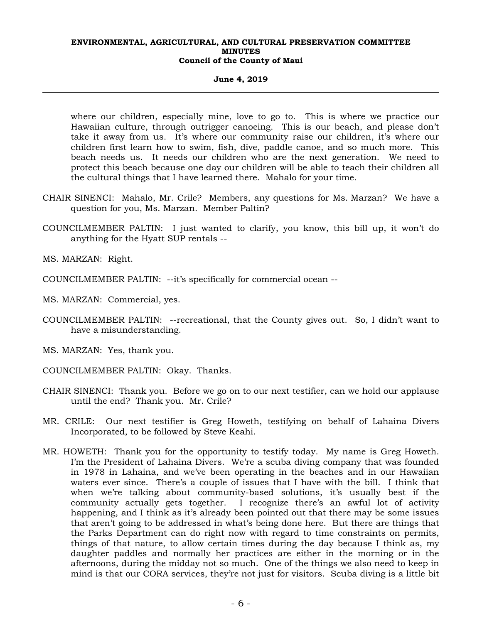#### **June 4, 2019**

where our children, especially mine, love to go to. This is where we practice our Hawaiian culture, through outrigger canoeing. This is our beach, and please don't take it away from us. It's where our community raise our children, it's where our children first learn how to swim, fish, dive, paddle canoe, and so much more. This beach needs us. It needs our children who are the next generation. We need to protect this beach because one day our children will be able to teach their children all the cultural things that I have learned there. Mahalo for your time.

- CHAIR SINENCI: Mahalo, Mr. Crile? Members, any questions for Ms. Marzan? We have a question for you, Ms. Marzan. Member Paltin?
- COUNCILMEMBER PALTIN: I just wanted to clarify, you know, this bill up, it won't do anything for the Hyatt SUP rentals --

MS. MARZAN: Right.

- COUNCILMEMBER PALTIN: --it's specifically for commercial ocean --
- MS. MARZAN: Commercial, yes.
- COUNCILMEMBER PALTIN: --recreational, that the County gives out. So, I didn't want to have a misunderstanding.
- MS. MARZAN: Yes, thank you.
- COUNCILMEMBER PALTIN: Okay. Thanks.
- CHAIR SINENCI: Thank you. Before we go on to our next testifier, can we hold our applause until the end? Thank you. Mr. Crile?
- MR. CRILE: Our next testifier is Greg Howeth, testifying on behalf of Lahaina Divers Incorporated, to be followed by Steve Keahi.
- MR. HOWETH: Thank you for the opportunity to testify today. My name is Greg Howeth. I'm the President of Lahaina Divers. We're a scuba diving company that was founded in 1978 in Lahaina, and we've been operating in the beaches and in our Hawaiian waters ever since. There's a couple of issues that I have with the bill. I think that when we're talking about community-based solutions, it's usually best if the community actually gets together. I recognize there's an awful lot of activity happening, and I think as it's already been pointed out that there may be some issues that aren't going to be addressed in what's being done here. But there are things that the Parks Department can do right now with regard to time constraints on permits, things of that nature, to allow certain times during the day because I think as, my daughter paddles and normally her practices are either in the morning or in the afternoons, during the midday not so much. One of the things we also need to keep in mind is that our CORA services, they're not just for visitors. Scuba diving is a little bit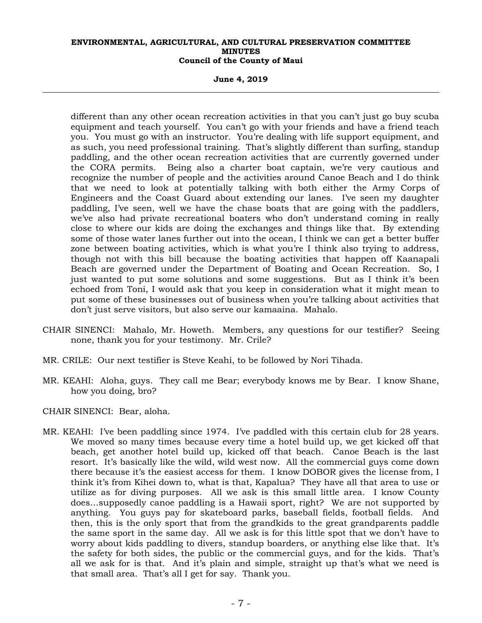**June 4, 2019** 

different than any other ocean recreation activities in that you can't just go buy scuba equipment and teach yourself. You can't go with your friends and have a friend teach you. You must go with an instructor. You're dealing with life support equipment, and as such, you need professional training. That's slightly different than surfing, standup paddling, and the other ocean recreation activities that are currently governed under the CORA permits. Being also a charter boat captain, we're very cautious and recognize the number of people and the activities around Canoe Beach and I do think that we need to look at potentially talking with both either the Army Corps of Engineers and the Coast Guard about extending our lanes. I've seen my daughter paddling, I've seen, well we have the chase boats that are going with the paddlers, we've also had private recreational boaters who don't understand coming in really close to where our kids are doing the exchanges and things like that. By extending some of those water lanes further out into the ocean, I think we can get a better buffer zone between boating activities, which is what you're I think also trying to address, though not with this bill because the boating activities that happen off Kaanapali Beach are governed under the Department of Boating and Ocean Recreation. So, I just wanted to put some solutions and some suggestions. But as I think it's been echoed from Toni, I would ask that you keep in consideration what it might mean to put some of these businesses out of business when you're talking about activities that don't just serve visitors, but also serve our kamaaina. Mahalo.

- CHAIR SINENCI: Mahalo, Mr. Howeth. Members, any questions for our testifier? Seeing none, thank you for your testimony. Mr. Crile?
- MR. CRILE: Our next testifier is Steve Keahi, to be followed by Nori Tihada.
- MR. KEAHI: Aloha, guys. They call me Bear; everybody knows me by Bear. I know Shane, how you doing, bro?

CHAIR SINENCI: Bear, aloha.

MR. KEAHI: I've been paddling since 1974. I've paddled with this certain club for 28 years. We moved so many times because every time a hotel build up, we get kicked off that beach, get another hotel build up, kicked off that beach. Canoe Beach is the last resort. It's basically like the wild, wild west now. All the commercial guys come down there because it's the easiest access for them. I know DOBOR gives the license from, I think it's from Kihei down to, what is that, Kapalua? They have all that area to use or utilize as for diving purposes. All we ask is this small little area. I know County does…supposedly canoe paddling is a Hawaii sport, right? We are not supported by anything. You guys pay for skateboard parks, baseball fields, football fields. And then, this is the only sport that from the grandkids to the great grandparents paddle the same sport in the same day. All we ask is for this little spot that we don't have to worry about kids paddling to divers, standup boarders, or anything else like that. It's the safety for both sides, the public or the commercial guys, and for the kids. That's all we ask for is that. And it's plain and simple, straight up that's what we need is that small area. That's all I get for say. Thank you.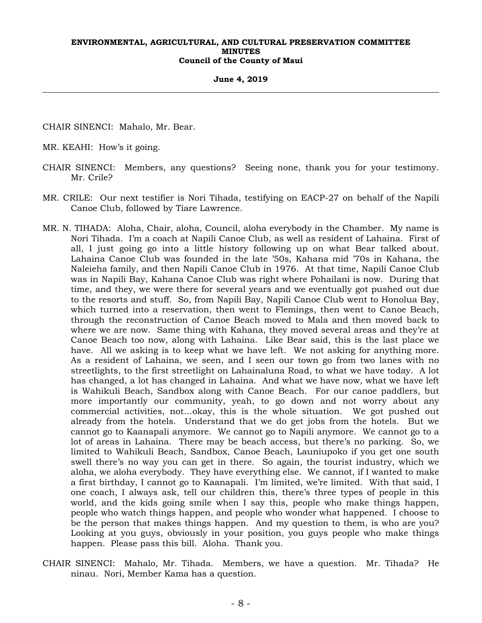#### **June 4, 2019**

CHAIR SINENCI: Mahalo, Mr. Bear.

MR. KEAHI: How's it going.

- CHAIR SINENCI: Members, any questions? Seeing none, thank you for your testimony. Mr. Crile?
- MR. CRILE: Our next testifier is Nori Tihada, testifying on EACP-27 on behalf of the Napili Canoe Club, followed by Tiare Lawrence.
- MR. N. TIHADA: Aloha, Chair, aloha, Council, aloha everybody in the Chamber. My name is Nori Tihada. I'm a coach at Napili Canoe Club, as well as resident of Lahaina. First of all, I just going go into a little history following up on what Bear talked about. Lahaina Canoe Club was founded in the late '50s, Kahana mid '70s in Kahana, the Naleieha family, and then Napili Canoe Club in 1976. At that time, Napili Canoe Club was in Napili Bay, Kahana Canoe Club was right where Pohailani is now. During that time, and they, we were there for several years and we eventually got pushed out due to the resorts and stuff. So, from Napili Bay, Napili Canoe Club went to Honolua Bay, which turned into a reservation, then went to Flemings, then went to Canoe Beach, through the reconstruction of Canoe Beach moved to Mala and then moved back to where we are now. Same thing with Kahana, they moved several areas and they're at Canoe Beach too now, along with Lahaina. Like Bear said, this is the last place we have. All we asking is to keep what we have left. We not asking for anything more. As a resident of Lahaina, we seen, and I seen our town go from two lanes with no streetlights, to the first streetlight on Lahainaluna Road, to what we have today. A lot has changed, a lot has changed in Lahaina. And what we have now, what we have left is Wahikuli Beach, Sandbox along with Canoe Beach. For our canoe paddlers, but more importantly our community, yeah, to go down and not worry about any commercial activities, not…okay, this is the whole situation. We got pushed out already from the hotels. Understand that we do get jobs from the hotels. But we cannot go to Kaanapali anymore. We cannot go to Napili anymore. We cannot go to a lot of areas in Lahaina. There may be beach access, but there's no parking. So, we limited to Wahikuli Beach, Sandbox, Canoe Beach, Launiupoko if you get one south swell there's no way you can get in there. So again, the tourist industry, which we aloha, we aloha everybody. They have everything else. We cannot, if I wanted to make a first birthday, I cannot go to Kaanapali. I'm limited, we're limited. With that said, I one coach, I always ask, tell our children this, there's three types of people in this world, and the kids going smile when I say this, people who make things happen, people who watch things happen, and people who wonder what happened. I choose to be the person that makes things happen. And my question to them, is who are you? Looking at you guys, obviously in your position, you guys people who make things happen. Please pass this bill. Aloha. Thank you.
- CHAIR SINENCI: Mahalo, Mr. Tihada. Members, we have a question. Mr. Tihada? He ninau. Nori, Member Kama has a question.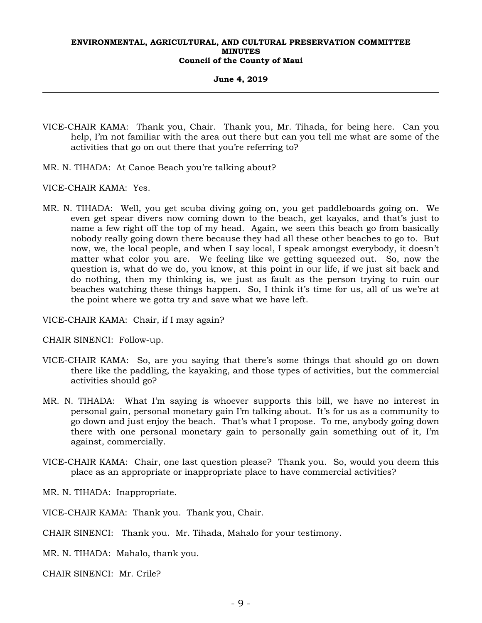**June 4, 2019** 

- VICE-CHAIR KAMA: Thank you, Chair. Thank you, Mr. Tihada, for being here. Can you help, I'm not familiar with the area out there but can you tell me what are some of the activities that go on out there that you're referring to?
- MR. N. TIHADA: At Canoe Beach you're talking about?
- VICE-CHAIR KAMA: Yes.
- MR. N. TIHADA: Well, you get scuba diving going on, you get paddleboards going on. We even get spear divers now coming down to the beach, get kayaks, and that's just to name a few right off the top of my head. Again, we seen this beach go from basically nobody really going down there because they had all these other beaches to go to. But now, we, the local people, and when I say local, I speak amongst everybody, it doesn't matter what color you are. We feeling like we getting squeezed out. So, now the question is, what do we do, you know, at this point in our life, if we just sit back and do nothing, then my thinking is, we just as fault as the person trying to ruin our beaches watching these things happen. So, I think it's time for us, all of us we're at the point where we gotta try and save what we have left.
- VICE-CHAIR KAMA: Chair, if I may again?
- CHAIR SINENCI: Follow-up.
- VICE-CHAIR KAMA: So, are you saying that there's some things that should go on down there like the paddling, the kayaking, and those types of activities, but the commercial activities should go?
- MR. N. TIHADA: What I'm saying is whoever supports this bill, we have no interest in personal gain, personal monetary gain I'm talking about. It's for us as a community to go down and just enjoy the beach. That's what I propose. To me, anybody going down there with one personal monetary gain to personally gain something out of it, I'm against, commercially.
- VICE-CHAIR KAMA: Chair, one last question please? Thank you. So, would you deem this place as an appropriate or inappropriate place to have commercial activities?
- MR. N. TIHADA: Inappropriate.
- VICE-CHAIR KAMA: Thank you. Thank you, Chair.
- CHAIR SINENCI: Thank you. Mr. Tihada, Mahalo for your testimony.
- MR. N. TIHADA: Mahalo, thank you.
- CHAIR SINENCI: Mr. Crile?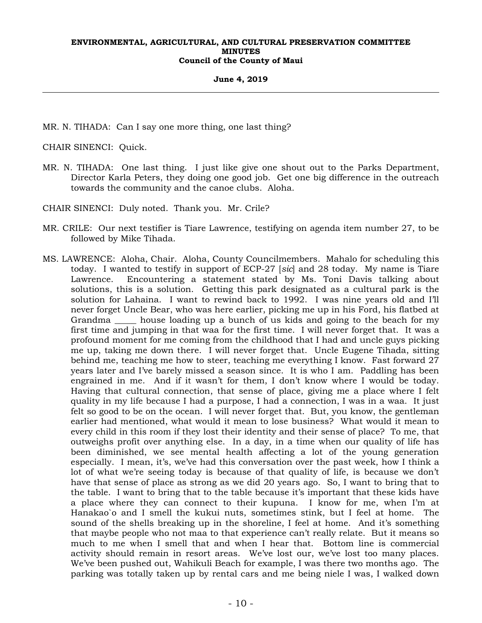**June 4, 2019** 

MR. N. TIHADA: Can I say one more thing, one last thing?

CHAIR SINENCI: Quick.

- MR. N. TIHADA: One last thing. I just like give one shout out to the Parks Department, Director Karla Peters, they doing one good job. Get one big difference in the outreach towards the community and the canoe clubs. Aloha.
- CHAIR SINENCI: Duly noted. Thank you. Mr. Crile?
- MR. CRILE: Our next testifier is Tiare Lawrence, testifying on agenda item number 27, to be followed by Mike Tihada.
- MS. LAWRENCE: Aloha, Chair. Aloha, County Councilmembers. Mahalo for scheduling this today. I wanted to testify in support of ECP-27 [*sic*] and 28 today. My name is Tiare Lawrence. Encountering a statement stated by Ms. Toni Davis talking about solutions, this is a solution. Getting this park designated as a cultural park is the solution for Lahaina. I want to rewind back to 1992. I was nine years old and I'll never forget Uncle Bear, who was here earlier, picking me up in his Ford, his flatbed at Grandma \_\_\_\_\_ house loading up a bunch of us kids and going to the beach for my first time and jumping in that waa for the first time. I will never forget that. It was a profound moment for me coming from the childhood that I had and uncle guys picking me up, taking me down there. I will never forget that. Uncle Eugene Tihada, sitting behind me, teaching me how to steer, teaching me everything I know. Fast forward 27 years later and I've barely missed a season since. It is who I am. Paddling has been engrained in me. And if it wasn't for them, I don't know where I would be today. Having that cultural connection, that sense of place, giving me a place where I felt quality in my life because I had a purpose, I had a connection, I was in a waa. It just felt so good to be on the ocean. I will never forget that. But, you know, the gentleman earlier had mentioned, what would it mean to lose business? What would it mean to every child in this room if they lost their identity and their sense of place? To me, that outweighs profit over anything else. In a day, in a time when our quality of life has been diminished, we see mental health affecting a lot of the young generation especially. I mean, it's, we've had this conversation over the past week, how I think a lot of what we're seeing today is because of that quality of life, is because we don't have that sense of place as strong as we did 20 years ago. So, I want to bring that to the table. I want to bring that to the table because it's important that these kids have a place where they can connect to their kupuna. I know for me, when I'm at Hanakao`o and I smell the kukui nuts, sometimes stink, but I feel at home. The sound of the shells breaking up in the shoreline, I feel at home. And it's something that maybe people who not maa to that experience can't really relate. But it means so much to me when I smell that and when I hear that. Bottom line is commercial activity should remain in resort areas. We've lost our, we've lost too many places. We've been pushed out, Wahikuli Beach for example, I was there two months ago. The parking was totally taken up by rental cars and me being niele I was, I walked down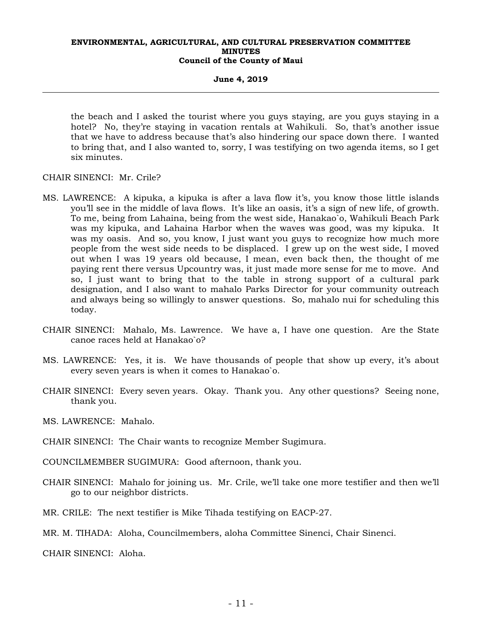#### **June 4, 2019**

the beach and I asked the tourist where you guys staying, are you guys staying in a hotel? No, they're staying in vacation rentals at Wahikuli. So, that's another issue that we have to address because that's also hindering our space down there. I wanted to bring that, and I also wanted to, sorry, I was testifying on two agenda items, so I get six minutes.

CHAIR SINENCI: Mr. Crile?

- MS. LAWRENCE: A kipuka, a kipuka is after a lava flow it's, you know those little islands you'll see in the middle of lava flows. It's like an oasis, it's a sign of new life, of growth. To me, being from Lahaina, being from the west side, Hanakao`o, Wahikuli Beach Park was my kipuka, and Lahaina Harbor when the waves was good, was my kipuka. It was my oasis. And so, you know, I just want you guys to recognize how much more people from the west side needs to be displaced. I grew up on the west side, I moved out when I was 19 years old because, I mean, even back then, the thought of me paying rent there versus Upcountry was, it just made more sense for me to move. And so, I just want to bring that to the table in strong support of a cultural park designation, and I also want to mahalo Parks Director for your community outreach and always being so willingly to answer questions. So, mahalo nui for scheduling this today.
- CHAIR SINENCI: Mahalo, Ms. Lawrence. We have a, I have one question. Are the State canoe races held at Hanakao`o?
- MS. LAWRENCE: Yes, it is. We have thousands of people that show up every, it's about every seven years is when it comes to Hanakao`o.
- CHAIR SINENCI: Every seven years. Okay. Thank you. Any other questions? Seeing none, thank you.
- MS. LAWRENCE: Mahalo.
- CHAIR SINENCI: The Chair wants to recognize Member Sugimura.
- COUNCILMEMBER SUGIMURA: Good afternoon, thank you.
- CHAIR SINENCI: Mahalo for joining us. Mr. Crile, we'll take one more testifier and then we'll go to our neighbor districts.
- MR. CRILE: The next testifier is Mike Tihada testifying on EACP-27.
- MR. M. TIHADA: Aloha, Councilmembers, aloha Committee Sinenci, Chair Sinenci.

CHAIR SINENCI: Aloha.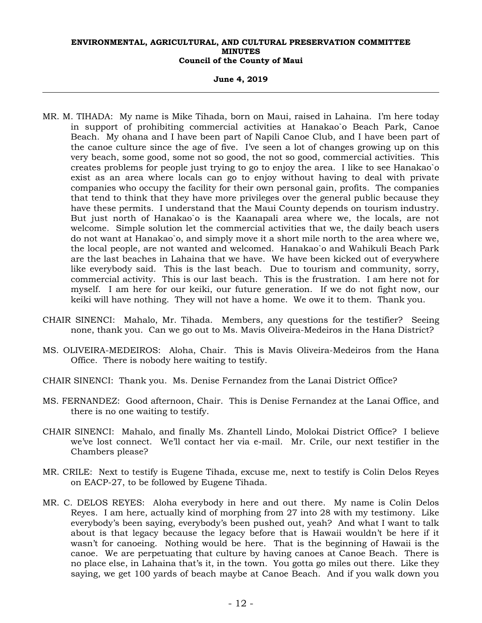**June 4, 2019** 

- MR. M. TIHADA: My name is Mike Tihada, born on Maui, raised in Lahaina. I'm here today in support of prohibiting commercial activities at Hanakao`o Beach Park, Canoe Beach. My ohana and I have been part of Napili Canoe Club, and I have been part of the canoe culture since the age of five. I've seen a lot of changes growing up on this very beach, some good, some not so good, the not so good, commercial activities. This creates problems for people just trying to go to enjoy the area. I like to see Hanakao`o exist as an area where locals can go to enjoy without having to deal with private companies who occupy the facility for their own personal gain, profits. The companies that tend to think that they have more privileges over the general public because they have these permits. I understand that the Maui County depends on tourism industry. But just north of Hanakao`o is the Kaanapali area where we, the locals, are not welcome. Simple solution let the commercial activities that we, the daily beach users do not want at Hanakao`o, and simply move it a short mile north to the area where we, the local people, are not wanted and welcomed. Hanakao`o and Wahikuli Beach Park are the last beaches in Lahaina that we have. We have been kicked out of everywhere like everybody said. This is the last beach. Due to tourism and community, sorry, commercial activity. This is our last beach. This is the frustration. I am here not for myself. I am here for our keiki, our future generation. If we do not fight now, our keiki will have nothing. They will not have a home. We owe it to them. Thank you.
- CHAIR SINENCI: Mahalo, Mr. Tihada. Members, any questions for the testifier? Seeing none, thank you. Can we go out to Ms. Mavis Oliveira-Medeiros in the Hana District?
- MS. OLIVEIRA-MEDEIROS: Aloha, Chair. This is Mavis Oliveira-Medeiros from the Hana Office. There is nobody here waiting to testify.
- CHAIR SINENCI: Thank you. Ms. Denise Fernandez from the Lanai District Office?
- MS. FERNANDEZ: Good afternoon, Chair. This is Denise Fernandez at the Lanai Office, and there is no one waiting to testify.
- CHAIR SINENCI: Mahalo, and finally Ms. Zhantell Lindo, Molokai District Office? I believe we've lost connect. We'll contact her via e-mail. Mr. Crile, our next testifier in the Chambers please?
- MR. CRILE: Next to testify is Eugene Tihada, excuse me, next to testify is Colin Delos Reyes on EACP-27, to be followed by Eugene Tihada.
- MR. C. DELOS REYES: Aloha everybody in here and out there. My name is Colin Delos Reyes. I am here, actually kind of morphing from 27 into 28 with my testimony. Like everybody's been saying, everybody's been pushed out, yeah? And what I want to talk about is that legacy because the legacy before that is Hawaii wouldn't be here if it wasn't for canoeing. Nothing would be here. That is the beginning of Hawaii is the canoe. We are perpetuating that culture by having canoes at Canoe Beach. There is no place else, in Lahaina that's it, in the town. You gotta go miles out there. Like they saying, we get 100 yards of beach maybe at Canoe Beach. And if you walk down you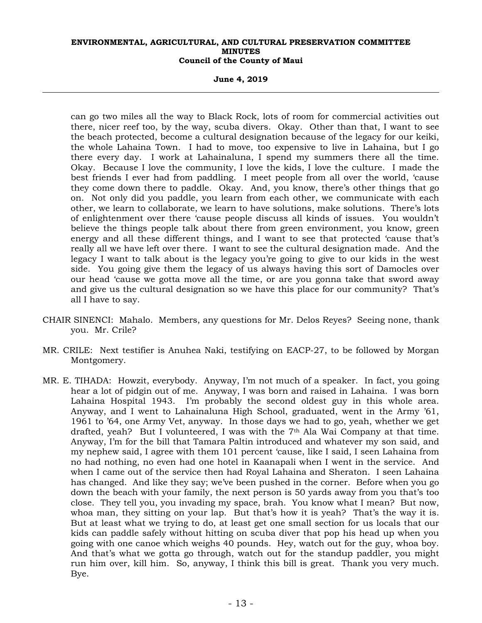**June 4, 2019** 

can go two miles all the way to Black Rock, lots of room for commercial activities out there, nicer reef too, by the way, scuba divers. Okay. Other than that, I want to see the beach protected, become a cultural designation because of the legacy for our keiki, the whole Lahaina Town. I had to move, too expensive to live in Lahaina, but I go there every day. I work at Lahainaluna, I spend my summers there all the time. Okay. Because I love the community, I love the kids, I love the culture. I made the best friends I ever had from paddling. I meet people from all over the world, 'cause they come down there to paddle. Okay. And, you know, there's other things that go on. Not only did you paddle, you learn from each other, we communicate with each other, we learn to collaborate, we learn to have solutions, make solutions. There's lots of enlightenment over there 'cause people discuss all kinds of issues. You wouldn't believe the things people talk about there from green environment, you know, green energy and all these different things, and I want to see that protected 'cause that's really all we have left over there. I want to see the cultural designation made. And the legacy I want to talk about is the legacy you're going to give to our kids in the west side. You going give them the legacy of us always having this sort of Damocles over our head 'cause we gotta move all the time, or are you gonna take that sword away and give us the cultural designation so we have this place for our community? That's all I have to say.

- CHAIR SINENCI: Mahalo. Members, any questions for Mr. Delos Reyes? Seeing none, thank you. Mr. Crile?
- MR. CRILE: Next testifier is Anuhea Naki, testifying on EACP-27, to be followed by Morgan Montgomery.
- MR. E. TIHADA: Howzit, everybody. Anyway, I'm not much of a speaker. In fact, you going hear a lot of pidgin out of me. Anyway, I was born and raised in Lahaina. I was born Lahaina Hospital 1943. I'm probably the second oldest guy in this whole area. Anyway, and I went to Lahainaluna High School, graduated, went in the Army '61, 1961 to '64, one Army Vet, anyway. In those days we had to go, yeah, whether we get drafted, yeah? But I volunteered, I was with the  $7<sup>th</sup>$  Ala Wai Company at that time. Anyway, I'm for the bill that Tamara Paltin introduced and whatever my son said, and my nephew said, I agree with them 101 percent 'cause, like I said, I seen Lahaina from no had nothing, no even had one hotel in Kaanapali when I went in the service. And when I came out of the service then had Royal Lahaina and Sheraton. I seen Lahaina has changed. And like they say; we've been pushed in the corner. Before when you go down the beach with your family, the next person is 50 yards away from you that's too close. They tell you, you invading my space, brah. You know what I mean? But now, whoa man, they sitting on your lap. But that's how it is yeah? That's the way it is. But at least what we trying to do, at least get one small section for us locals that our kids can paddle safely without hitting on scuba diver that pop his head up when you going with one canoe which weighs 40 pounds. Hey, watch out for the guy, whoa boy. And that's what we gotta go through, watch out for the standup paddler, you might run him over, kill him. So, anyway, I think this bill is great. Thank you very much. Bye.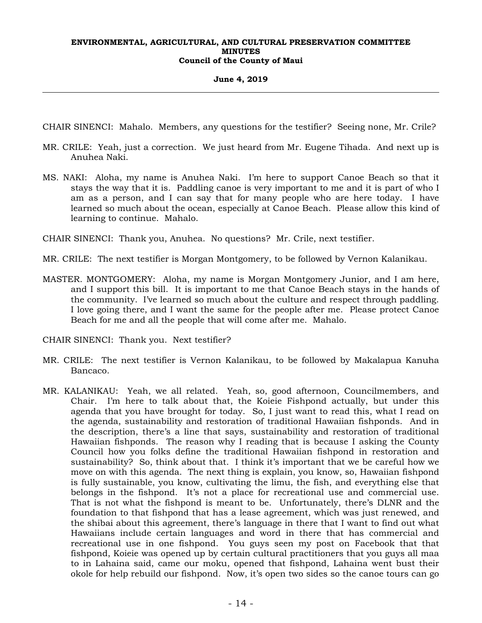#### **June 4, 2019**

CHAIR SINENCI: Mahalo. Members, any questions for the testifier? Seeing none, Mr. Crile?

- MR. CRILE: Yeah, just a correction. We just heard from Mr. Eugene Tihada. And next up is Anuhea Naki.
- MS. NAKI: Aloha, my name is Anuhea Naki. I'm here to support Canoe Beach so that it stays the way that it is. Paddling canoe is very important to me and it is part of who I am as a person, and I can say that for many people who are here today. I have learned so much about the ocean, especially at Canoe Beach. Please allow this kind of learning to continue. Mahalo.

CHAIR SINENCI: Thank you, Anuhea. No questions? Mr. Crile, next testifier.

MR. CRILE: The next testifier is Morgan Montgomery, to be followed by Vernon Kalanikau.

MASTER. MONTGOMERY: Aloha, my name is Morgan Montgomery Junior, and I am here, and I support this bill. It is important to me that Canoe Beach stays in the hands of the community. I've learned so much about the culture and respect through paddling. I love going there, and I want the same for the people after me. Please protect Canoe Beach for me and all the people that will come after me. Mahalo.

CHAIR SINENCI: Thank you. Next testifier?

- MR. CRILE: The next testifier is Vernon Kalanikau, to be followed by Makalapua Kanuha Bancaco.
- MR. KALANIKAU: Yeah, we all related. Yeah, so, good afternoon, Councilmembers, and Chair. I'm here to talk about that, the Koieie Fishpond actually, but under this agenda that you have brought for today. So, I just want to read this, what I read on the agenda, sustainability and restoration of traditional Hawaiian fishponds. And in the description, there's a line that says, sustainability and restoration of traditional Hawaiian fishponds. The reason why I reading that is because I asking the County Council how you folks define the traditional Hawaiian fishpond in restoration and sustainability? So, think about that. I think it's important that we be careful how we move on with this agenda. The next thing is explain, you know, so, Hawaiian fishpond is fully sustainable, you know, cultivating the limu, the fish, and everything else that belongs in the fishpond. It's not a place for recreational use and commercial use. That is not what the fishpond is meant to be. Unfortunately, there's DLNR and the foundation to that fishpond that has a lease agreement, which was just renewed, and the shibai about this agreement, there's language in there that I want to find out what Hawaiians include certain languages and word in there that has commercial and recreational use in one fishpond. You guys seen my post on Facebook that that fishpond, Koieie was opened up by certain cultural practitioners that you guys all maa to in Lahaina said, came our moku, opened that fishpond, Lahaina went bust their okole for help rebuild our fishpond. Now, it's open two sides so the canoe tours can go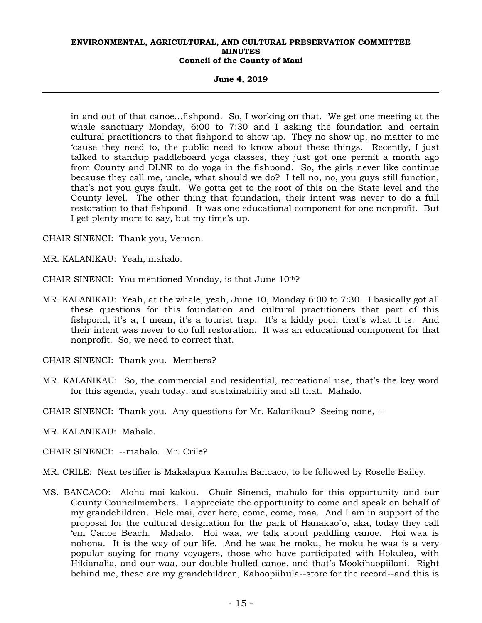**June 4, 2019** 

in and out of that canoe…fishpond. So, I working on that. We get one meeting at the whale sanctuary Monday, 6:00 to 7:30 and I asking the foundation and certain cultural practitioners to that fishpond to show up. They no show up, no matter to me 'cause they need to, the public need to know about these things. Recently, I just talked to standup paddleboard yoga classes, they just got one permit a month ago from County and DLNR to do yoga in the fishpond. So, the girls never like continue because they call me, uncle, what should we do? I tell no, no, you guys still function, that's not you guys fault. We gotta get to the root of this on the State level and the County level. The other thing that foundation, their intent was never to do a full restoration to that fishpond. It was one educational component for one nonprofit. But I get plenty more to say, but my time's up.

CHAIR SINENCI: Thank you, Vernon.

MR. KALANIKAU: Yeah, mahalo.

- CHAIR SINENCI: You mentioned Monday, is that June 10th?
- MR. KALANIKAU: Yeah, at the whale, yeah, June 10, Monday 6:00 to 7:30. I basically got all these questions for this foundation and cultural practitioners that part of this fishpond, it's a, I mean, it's a tourist trap. It's a kiddy pool, that's what it is. And their intent was never to do full restoration. It was an educational component for that nonprofit. So, we need to correct that.
- CHAIR SINENCI: Thank you. Members?
- MR. KALANIKAU: So, the commercial and residential, recreational use, that's the key word for this agenda, yeah today, and sustainability and all that. Mahalo.

CHAIR SINENCI: Thank you. Any questions for Mr. Kalanikau? Seeing none, --

MR. KALANIKAU: Mahalo.

CHAIR SINENCI: --mahalo. Mr. Crile?

MR. CRILE: Next testifier is Makalapua Kanuha Bancaco, to be followed by Roselle Bailey.

MS. BANCACO: Aloha mai kakou. Chair Sinenci, mahalo for this opportunity and our County Councilmembers. I appreciate the opportunity to come and speak on behalf of my grandchildren. Hele mai, over here, come, come, maa. And I am in support of the proposal for the cultural designation for the park of Hanakao`o, aka, today they call 'em Canoe Beach. Mahalo. Hoi waa, we talk about paddling canoe. Hoi waa is nohona. It is the way of our life. And he waa he moku, he moku he waa is a very popular saying for many voyagers, those who have participated with Hokulea, with Hikianalia, and our waa, our double-hulled canoe, and that's Mookihaopiilani. Right behind me, these are my grandchildren, Kahoopiihula--store for the record--and this is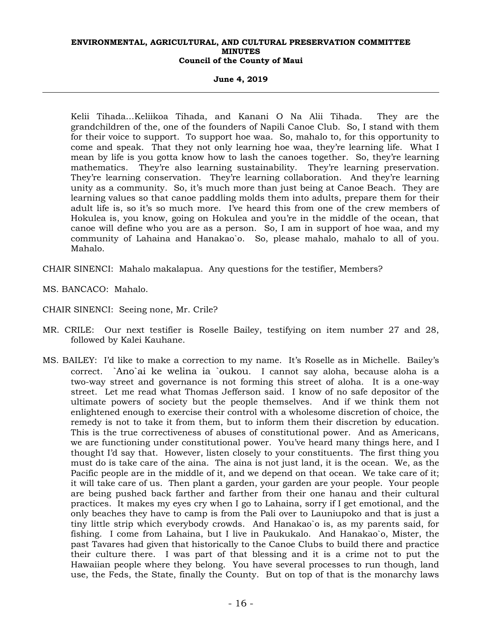**June 4, 2019** 

Kelii Tihada…Keliikoa Tihada, and Kanani O Na Alii Tihada. They are the grandchildren of the, one of the founders of Napili Canoe Club. So, I stand with them for their voice to support. To support hoe waa. So, mahalo to, for this opportunity to come and speak. That they not only learning hoe waa, they're learning life. What I mean by life is you gotta know how to lash the canoes together. So, they're learning mathematics. They're also learning sustainability. They're learning preservation. They're learning conservation. They're learning collaboration. And they're learning unity as a community. So, it's much more than just being at Canoe Beach. They are learning values so that canoe paddling molds them into adults, prepare them for their adult life is, so it's so much more. I've heard this from one of the crew members of Hokulea is, you know, going on Hokulea and you're in the middle of the ocean, that canoe will define who you are as a person. So, I am in support of hoe waa, and my community of Lahaina and Hanakao`o. So, please mahalo, mahalo to all of you. Mahalo.

CHAIR SINENCI: Mahalo makalapua. Any questions for the testifier, Members?

- MS. BANCACO: Mahalo.
- CHAIR SINENCI: Seeing none, Mr. Crile?
- MR. CRILE: Our next testifier is Roselle Bailey, testifying on item number 27 and 28, followed by Kalei Kauhane.
- MS. BAILEY: I'd like to make a correction to my name. It's Roselle as in Michelle. Bailey's correct. `Ano`ai ke welina ia `oukou. I cannot say aloha, because aloha is a two-way street and governance is not forming this street of aloha. It is a one-way street. Let me read what Thomas Jefferson said. I know of no safe depositor of the ultimate powers of society but the people themselves. And if we think them not enlightened enough to exercise their control with a wholesome discretion of choice, the remedy is not to take it from them, but to inform them their discretion by education. This is the true correctiveness of abuses of constitutional power. And as Americans, we are functioning under constitutional power. You've heard many things here, and I thought I'd say that. However, listen closely to your constituents. The first thing you must do is take care of the aina. The aina is not just land, it is the ocean. We, as the Pacific people are in the middle of it, and we depend on that ocean. We take care of it; it will take care of us. Then plant a garden, your garden are your people. Your people are being pushed back farther and farther from their one hanau and their cultural practices. It makes my eyes cry when I go to Lahaina, sorry if I get emotional, and the only beaches they have to camp is from the Pali over to Launiupoko and that is just a tiny little strip which everybody crowds. And Hanakao`o is, as my parents said, for fishing. I come from Lahaina, but I live in Paukukalo. And Hanakao`o, Mister, the past Tavares had given that historically to the Canoe Clubs to build there and practice their culture there. I was part of that blessing and it is a crime not to put the Hawaiian people where they belong. You have several processes to run though, land use, the Feds, the State, finally the County. But on top of that is the monarchy laws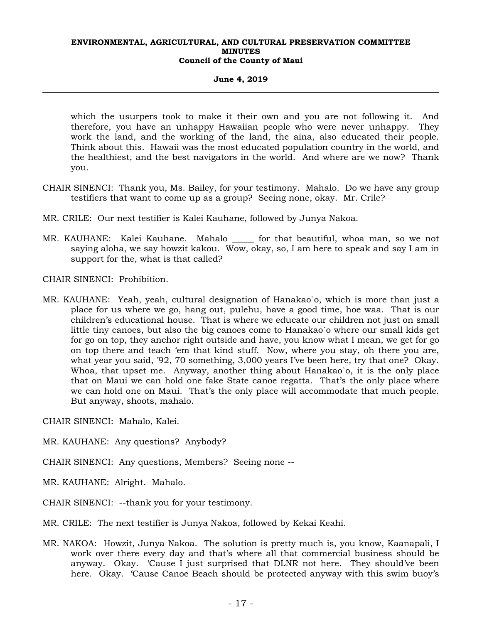#### **June 4, 2019**

which the usurpers took to make it their own and you are not following it. And therefore, you have an unhappy Hawaiian people who were never unhappy. They work the land, and the working of the land, the aina, also educated their people. Think about this. Hawaii was the most educated population country in the world, and the healthiest, and the best navigators in the world. And where are we now? Thank you.

- CHAIR SINENCI: Thank you, Ms. Bailey, for your testimony. Mahalo. Do we have any group testifiers that want to come up as a group? Seeing none, okay. Mr. Crile?
- MR. CRILE: Our next testifier is Kalei Kauhane, followed by Junya Nakoa.
- MR. KAUHANE: Kalei Kauhane. Mahalo \_\_\_\_\_ for that beautiful, whoa man, so we not saying aloha, we say howzit kakou. Wow, okay, so, I am here to speak and say I am in support for the, what is that called?
- CHAIR SINENCI: Prohibition.
- MR. KAUHANE: Yeah, yeah, cultural designation of Hanakao`o, which is more than just a place for us where we go, hang out, pulehu, have a good time, hoe waa. That is our children's educational house. That is where we educate our children not just on small little tiny canoes, but also the big canoes come to Hanakao`o where our small kids get for go on top, they anchor right outside and have, you know what I mean, we get for go on top there and teach 'em that kind stuff. Now, where you stay, oh there you are, what year you said, '92, 70 something, 3,000 years I've been here, try that one? Okay. Whoa, that upset me. Anyway, another thing about Hanakao`o, it is the only place that on Maui we can hold one fake State canoe regatta. That's the only place where we can hold one on Maui. That's the only place will accommodate that much people. But anyway, shoots, mahalo.

CHAIR SINENCI: Mahalo, Kalei.

- MR. KAUHANE: Any questions? Anybody?
- CHAIR SINENCI: Any questions, Members? Seeing none --
- MR. KAUHANE: Alright. Mahalo.
- CHAIR SINENCI: --thank you for your testimony.
- MR. CRILE: The next testifier is Junya Nakoa, followed by Kekai Keahi.
- MR. NAKOA: Howzit, Junya Nakoa. The solution is pretty much is, you know, Kaanapali, I work over there every day and that's where all that commercial business should be anyway. Okay. 'Cause I just surprised that DLNR not here. They should've been here. Okay. 'Cause Canoe Beach should be protected anyway with this swim buoy's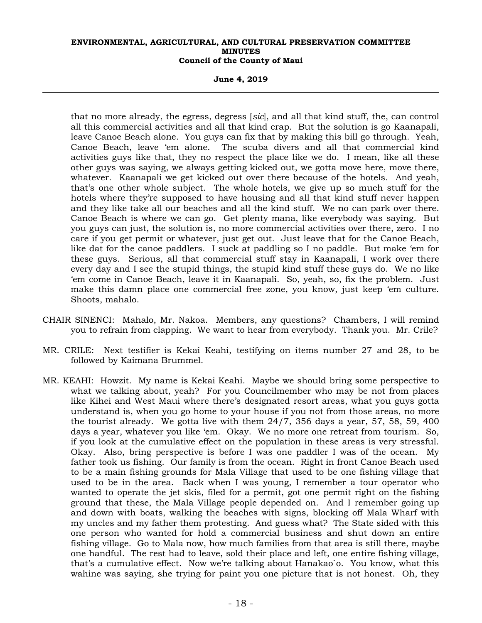**June 4, 2019** 

that no more already, the egress, degress [*sic*], and all that kind stuff, the, can control all this commercial activities and all that kind crap. But the solution is go Kaanapali, leave Canoe Beach alone. You guys can fix that by making this bill go through. Yeah, Canoe Beach, leave 'em alone. The scuba divers and all that commercial kind activities guys like that, they no respect the place like we do. I mean, like all these other guys was saying, we always getting kicked out, we gotta move here, move there, whatever. Kaanapali we get kicked out over there because of the hotels. And yeah, that's one other whole subject. The whole hotels, we give up so much stuff for the hotels where they're supposed to have housing and all that kind stuff never happen and they like take all our beaches and all the kind stuff. We no can park over there. Canoe Beach is where we can go. Get plenty mana, like everybody was saying. But you guys can just, the solution is, no more commercial activities over there, zero. I no care if you get permit or whatever, just get out. Just leave that for the Canoe Beach, like dat for the canoe paddlers. I suck at paddling so I no paddle. But make 'em for these guys. Serious, all that commercial stuff stay in Kaanapali, I work over there every day and I see the stupid things, the stupid kind stuff these guys do. We no like 'em come in Canoe Beach, leave it in Kaanapali. So, yeah, so, fix the problem. Just make this damn place one commercial free zone, you know, just keep 'em culture. Shoots, mahalo.

- CHAIR SINENCI: Mahalo, Mr. Nakoa. Members, any questions? Chambers, I will remind you to refrain from clapping. We want to hear from everybody. Thank you. Mr. Crile?
- MR. CRILE: Next testifier is Kekai Keahi, testifying on items number 27 and 28, to be followed by Kaimana Brummel.
- MR. KEAHI: Howzit. My name is Kekai Keahi. Maybe we should bring some perspective to what we talking about, yeah? For you Councilmember who may be not from places like Kihei and West Maui where there's designated resort areas, what you guys gotta understand is, when you go home to your house if you not from those areas, no more the tourist already. We gotta live with them 24/7, 356 days a year, 57, 58, 59, 400 days a year, whatever you like 'em. Okay. We no more one retreat from tourism. So, if you look at the cumulative effect on the population in these areas is very stressful. Okay. Also, bring perspective is before I was one paddler I was of the ocean. My father took us fishing. Our family is from the ocean. Right in front Canoe Beach used to be a main fishing grounds for Mala Village that used to be one fishing village that used to be in the area. Back when I was young, I remember a tour operator who wanted to operate the jet skis, filed for a permit, got one permit right on the fishing ground that these, the Mala Village people depended on. And I remember going up and down with boats, walking the beaches with signs, blocking off Mala Wharf with my uncles and my father them protesting. And guess what? The State sided with this one person who wanted for hold a commercial business and shut down an entire fishing village. Go to Mala now, how much families from that area is still there, maybe one handful. The rest had to leave, sold their place and left, one entire fishing village, that's a cumulative effect. Now we're talking about Hanakao`o. You know, what this wahine was saying, she trying for paint you one picture that is not honest. Oh, they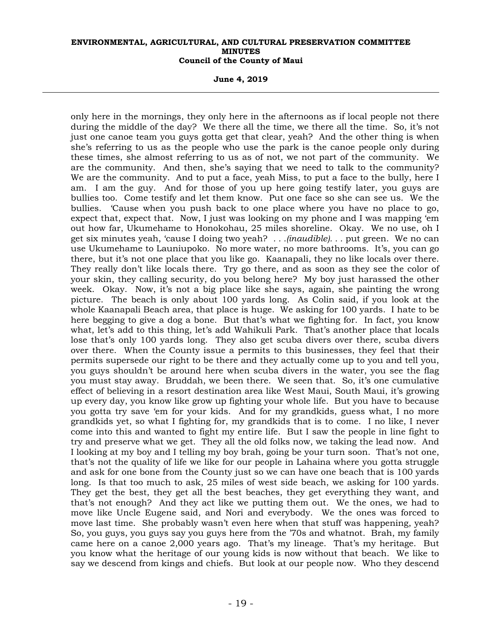**June 4, 2019** 

only here in the mornings, they only here in the afternoons as if local people not there during the middle of the day? We there all the time, we there all the time. So, it's not just one canoe team you guys gotta get that clear, yeah? And the other thing is when she's referring to us as the people who use the park is the canoe people only during these times, she almost referring to us as of not, we not part of the community. We are the community. And then, she's saying that we need to talk to the community? We are the community. And to put a face, yeah Miss, to put a face to the bully, here I am. I am the guy. And for those of you up here going testify later, you guys are bullies too. Come testify and let them know. Put one face so she can see us. We the bullies. 'Cause when you push back to one place where you have no place to go, expect that, expect that. Now, I just was looking on my phone and I was mapping 'em out how far, Ukumehame to Honokohau, 25 miles shoreline. Okay. We no use, oh I get six minutes yeah, 'cause I doing two yeah? *. . .(inaudible). . .* put green. We no can use Ukumehame to Launiupoko. No more water, no more bathrooms. It's, you can go there, but it's not one place that you like go. Kaanapali, they no like locals over there. They really don't like locals there. Try go there, and as soon as they see the color of your skin, they calling security, do you belong here? My boy just harassed the other week. Okay. Now, it's not a big place like she says, again, she painting the wrong picture. The beach is only about 100 yards long. As Colin said, if you look at the whole Kaanapali Beach area, that place is huge. We asking for 100 yards. I hate to be here begging to give a dog a bone. But that's what we fighting for. In fact, you know what, let's add to this thing, let's add Wahikuli Park. That's another place that locals lose that's only 100 yards long. They also get scuba divers over there, scuba divers over there. When the County issue a permits to this businesses, they feel that their permits supersede our right to be there and they actually come up to you and tell you, you guys shouldn't be around here when scuba divers in the water, you see the flag you must stay away. Bruddah, we been there. We seen that. So, it's one cumulative effect of believing in a resort destination area like West Maui, South Maui, it's growing up every day, you know like grow up fighting your whole life. But you have to because you gotta try save 'em for your kids. And for my grandkids, guess what, I no more grandkids yet, so what I fighting for, my grandkids that is to come. I no like, I never come into this and wanted to fight my entire life. But I saw the people in line fight to try and preserve what we get. They all the old folks now, we taking the lead now. And I looking at my boy and I telling my boy brah, going be your turn soon. That's not one, that's not the quality of life we like for our people in Lahaina where you gotta struggle and ask for one bone from the County just so we can have one beach that is 100 yards long. Is that too much to ask, 25 miles of west side beach, we asking for 100 yards. They get the best, they get all the best beaches, they get everything they want, and that's not enough? And they act like we putting them out. We the ones, we had to move like Uncle Eugene said, and Nori and everybody. We the ones was forced to move last time. She probably wasn't even here when that stuff was happening, yeah? So, you guys, you guys say you guys here from the '70s and whatnot. Brah, my family came here on a canoe 2,000 years ago. That's my lineage. That's my heritage. But you know what the heritage of our young kids is now without that beach. We like to say we descend from kings and chiefs. But look at our people now. Who they descend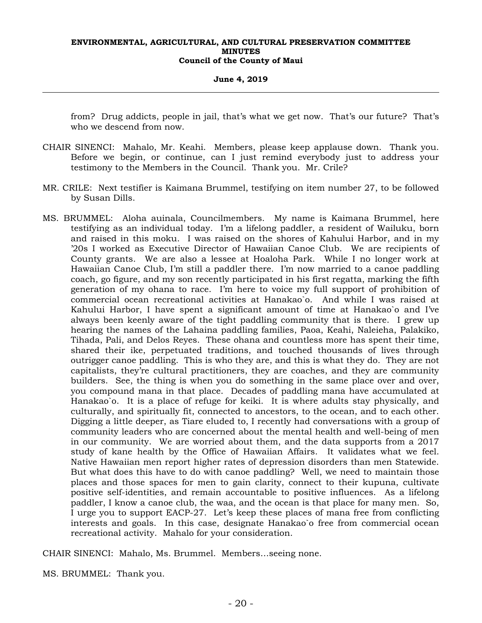#### **June 4, 2019**

from? Drug addicts, people in jail, that's what we get now. That's our future? That's who we descend from now.

- CHAIR SINENCI: Mahalo, Mr. Keahi. Members, please keep applause down. Thank you. Before we begin, or continue, can I just remind everybody just to address your testimony to the Members in the Council. Thank you. Mr. Crile?
- MR. CRILE: Next testifier is Kaimana Brummel, testifying on item number 27, to be followed by Susan Dills.
- MS. BRUMMEL: Aloha auinala, Councilmembers. My name is Kaimana Brummel, here testifying as an individual today. I'm a lifelong paddler, a resident of Wailuku, born and raised in this moku. I was raised on the shores of Kahului Harbor, and in my '20s I worked as Executive Director of Hawaiian Canoe Club. We are recipients of County grants. We are also a lessee at Hoaloha Park. While I no longer work at Hawaiian Canoe Club, I'm still a paddler there. I'm now married to a canoe paddling coach, go figure, and my son recently participated in his first regatta, marking the fifth generation of my ohana to race. I'm here to voice my full support of prohibition of commercial ocean recreational activities at Hanakao`o. And while I was raised at Kahului Harbor, I have spent a significant amount of time at Hanakao`o and I've always been keenly aware of the tight paddling community that is there. I grew up hearing the names of the Lahaina paddling families, Paoa, Keahi, Naleieha, Palakiko, Tihada, Pali, and Delos Reyes. These ohana and countless more has spent their time, shared their ike, perpetuated traditions, and touched thousands of lives through outrigger canoe paddling. This is who they are, and this is what they do. They are not capitalists, they're cultural practitioners, they are coaches, and they are community builders. See, the thing is when you do something in the same place over and over, you compound mana in that place. Decades of paddling mana have accumulated at Hanakao`o. It is a place of refuge for keiki. It is where adults stay physically, and culturally, and spiritually fit, connected to ancestors, to the ocean, and to each other. Digging a little deeper, as Tiare eluded to, I recently had conversations with a group of community leaders who are concerned about the mental health and well-being of men in our community. We are worried about them, and the data supports from a 2017 study of kane health by the Office of Hawaiian Affairs. It validates what we feel. Native Hawaiian men report higher rates of depression disorders than men Statewide. But what does this have to do with canoe paddling? Well, we need to maintain those places and those spaces for men to gain clarity, connect to their kupuna, cultivate positive self-identities, and remain accountable to positive influences. As a lifelong paddler, I know a canoe club, the waa, and the ocean is that place for many men. So, I urge you to support EACP-27. Let's keep these places of mana free from conflicting interests and goals. In this case, designate Hanakao`o free from commercial ocean recreational activity. Mahalo for your consideration.

CHAIR SINENCI: Mahalo, Ms. Brummel. Members…seeing none.

MS. BRUMMEL: Thank you.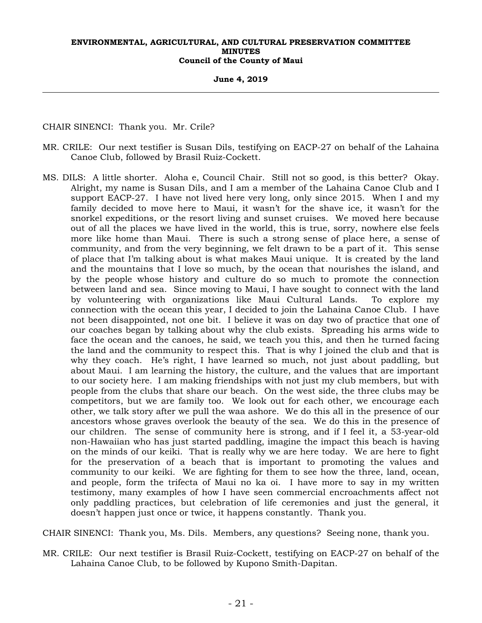**June 4, 2019** 

CHAIR SINENCI: Thank you. Mr. Crile?

- MR. CRILE: Our next testifier is Susan Dils, testifying on EACP-27 on behalf of the Lahaina Canoe Club, followed by Brasil Ruiz-Cockett.
- MS. DILS: A little shorter. Aloha e, Council Chair. Still not so good, is this better? Okay. Alright, my name is Susan Dils, and I am a member of the Lahaina Canoe Club and I support EACP-27. I have not lived here very long, only since 2015. When I and my family decided to move here to Maui, it wasn't for the shave ice, it wasn't for the snorkel expeditions, or the resort living and sunset cruises. We moved here because out of all the places we have lived in the world, this is true, sorry, nowhere else feels more like home than Maui. There is such a strong sense of place here, a sense of community, and from the very beginning, we felt drawn to be a part of it. This sense of place that I'm talking about is what makes Maui unique. It is created by the land and the mountains that I love so much, by the ocean that nourishes the island, and by the people whose history and culture do so much to promote the connection between land and sea. Since moving to Maui, I have sought to connect with the land by volunteering with organizations like Maui Cultural Lands. To explore my connection with the ocean this year, I decided to join the Lahaina Canoe Club. I have not been disappointed, not one bit. I believe it was on day two of practice that one of our coaches began by talking about why the club exists. Spreading his arms wide to face the ocean and the canoes, he said, we teach you this, and then he turned facing the land and the community to respect this. That is why I joined the club and that is why they coach. He's right, I have learned so much, not just about paddling, but about Maui. I am learning the history, the culture, and the values that are important to our society here. I am making friendships with not just my club members, but with people from the clubs that share our beach. On the west side, the three clubs may be competitors, but we are family too. We look out for each other, we encourage each other, we talk story after we pull the waa ashore. We do this all in the presence of our ancestors whose graves overlook the beauty of the sea. We do this in the presence of our children. The sense of community here is strong, and if I feel it, a 53-year-old non-Hawaiian who has just started paddling, imagine the impact this beach is having on the minds of our keiki. That is really why we are here today. We are here to fight for the preservation of a beach that is important to promoting the values and community to our keiki. We are fighting for them to see how the three, land, ocean, and people, form the trifecta of Maui no ka oi. I have more to say in my written testimony, many examples of how I have seen commercial encroachments affect not only paddling practices, but celebration of life ceremonies and just the general, it doesn't happen just once or twice, it happens constantly. Thank you.

CHAIR SINENCI: Thank you, Ms. Dils. Members, any questions? Seeing none, thank you.

MR. CRILE: Our next testifier is Brasil Ruiz-Cockett, testifying on EACP-27 on behalf of the Lahaina Canoe Club, to be followed by Kupono Smith-Dapitan.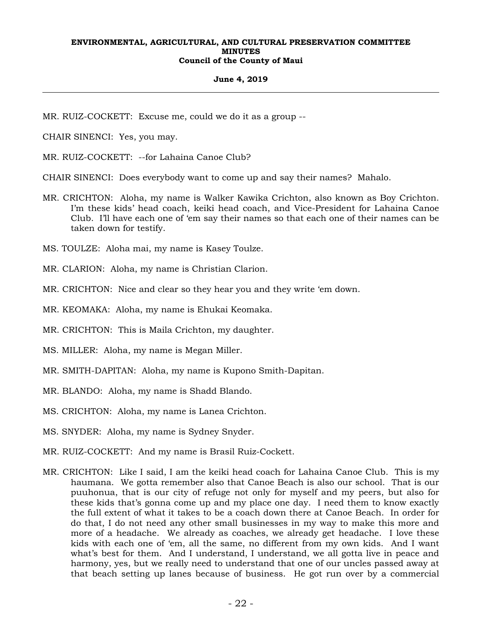#### **June 4, 2019**

MR. RUIZ-COCKETT: Excuse me, could we do it as a group --

CHAIR SINENCI: Yes, you may.

MR. RUIZ-COCKETT: --for Lahaina Canoe Club?

CHAIR SINENCI: Does everybody want to come up and say their names? Mahalo.

- MR. CRICHTON: Aloha, my name is Walker Kawika Crichton, also known as Boy Crichton. I'm these kids' head coach, keiki head coach, and Vice-President for Lahaina Canoe Club. I'll have each one of 'em say their names so that each one of their names can be taken down for testify.
- MS. TOULZE: Aloha mai, my name is Kasey Toulze.
- MR. CLARION: Aloha, my name is Christian Clarion.
- MR. CRICHTON: Nice and clear so they hear you and they write 'em down.
- MR. KEOMAKA: Aloha, my name is Ehukai Keomaka.
- MR. CRICHTON: This is Maila Crichton, my daughter.
- MS. MILLER: Aloha, my name is Megan Miller.
- MR. SMITH-DAPITAN: Aloha, my name is Kupono Smith-Dapitan.
- MR. BLANDO: Aloha, my name is Shadd Blando.
- MS. CRICHTON: Aloha, my name is Lanea Crichton.
- MS. SNYDER: Aloha, my name is Sydney Snyder.
- MR. RUIZ-COCKETT: And my name is Brasil Ruiz-Cockett.
- MR. CRICHTON: Like I said, I am the keiki head coach for Lahaina Canoe Club. This is my haumana. We gotta remember also that Canoe Beach is also our school. That is our puuhonua, that is our city of refuge not only for myself and my peers, but also for these kids that's gonna come up and my place one day. I need them to know exactly the full extent of what it takes to be a coach down there at Canoe Beach. In order for do that, I do not need any other small businesses in my way to make this more and more of a headache. We already as coaches, we already get headache. I love these kids with each one of 'em, all the same, no different from my own kids. And I want what's best for them. And I understand, I understand, we all gotta live in peace and harmony, yes, but we really need to understand that one of our uncles passed away at that beach setting up lanes because of business. He got run over by a commercial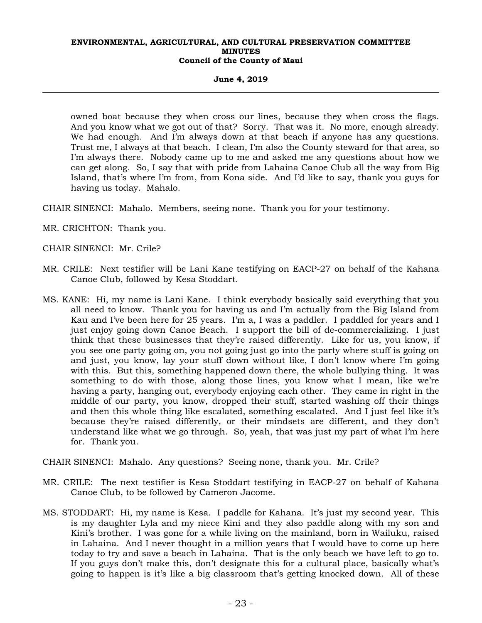**June 4, 2019** 

owned boat because they when cross our lines, because they when cross the flags. And you know what we got out of that? Sorry. That was it. No more, enough already. We had enough. And I'm always down at that beach if anyone has any questions. Trust me, I always at that beach. I clean, I'm also the County steward for that area, so I'm always there. Nobody came up to me and asked me any questions about how we can get along. So, I say that with pride from Lahaina Canoe Club all the way from Big Island, that's where I'm from, from Kona side. And I'd like to say, thank you guys for having us today. Mahalo.

CHAIR SINENCI: Mahalo. Members, seeing none. Thank you for your testimony.

MR. CRICHTON: Thank you.

CHAIR SINENCI: Mr. Crile?

- MR. CRILE: Next testifier will be Lani Kane testifying on EACP-27 on behalf of the Kahana Canoe Club, followed by Kesa Stoddart.
- MS. KANE: Hi, my name is Lani Kane. I think everybody basically said everything that you all need to know. Thank you for having us and I'm actually from the Big Island from Kau and I've been here for 25 years. I'm a, I was a paddler. I paddled for years and I just enjoy going down Canoe Beach. I support the bill of de-commercializing. I just think that these businesses that they're raised differently. Like for us, you know, if you see one party going on, you not going just go into the party where stuff is going on and just, you know, lay your stuff down without like, I don't know where I'm going with this. But this, something happened down there, the whole bullying thing. It was something to do with those, along those lines, you know what I mean, like we're having a party, hanging out, everybody enjoying each other. They came in right in the middle of our party, you know, dropped their stuff, started washing off their things and then this whole thing like escalated, something escalated. And I just feel like it's because they're raised differently, or their mindsets are different, and they don't understand like what we go through. So, yeah, that was just my part of what I'm here for. Thank you.
- CHAIR SINENCI: Mahalo. Any questions? Seeing none, thank you. Mr. Crile?
- MR. CRILE: The next testifier is Kesa Stoddart testifying in EACP-27 on behalf of Kahana Canoe Club, to be followed by Cameron Jacome.
- MS. STODDART: Hi, my name is Kesa. I paddle for Kahana. It's just my second year. This is my daughter Lyla and my niece Kini and they also paddle along with my son and Kini's brother. I was gone for a while living on the mainland, born in Wailuku, raised in Lahaina. And I never thought in a million years that I would have to come up here today to try and save a beach in Lahaina. That is the only beach we have left to go to. If you guys don't make this, don't designate this for a cultural place, basically what's going to happen is it's like a big classroom that's getting knocked down. All of these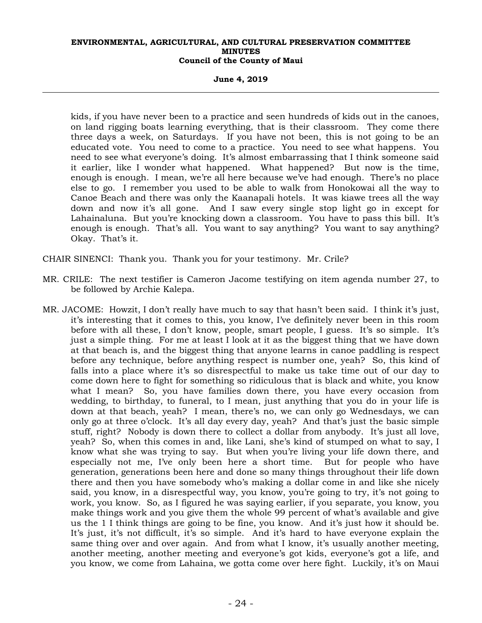**June 4, 2019** 

kids, if you have never been to a practice and seen hundreds of kids out in the canoes, on land rigging boats learning everything, that is their classroom. They come there three days a week, on Saturdays. If you have not been, this is not going to be an educated vote. You need to come to a practice. You need to see what happens. You need to see what everyone's doing. It's almost embarrassing that I think someone said it earlier, like I wonder what happened. What happened? But now is the time, enough is enough. I mean, we're all here because we've had enough. There's no place else to go. I remember you used to be able to walk from Honokowai all the way to Canoe Beach and there was only the Kaanapali hotels. It was kiawe trees all the way down and now it's all gone. And I saw every single stop light go in except for Lahainaluna. But you're knocking down a classroom. You have to pass this bill. It's enough is enough. That's all. You want to say anything? You want to say anything? Okay. That's it.

CHAIR SINENCI: Thank you. Thank you for your testimony. Mr. Crile?

- MR. CRILE: The next testifier is Cameron Jacome testifying on item agenda number 27, to be followed by Archie Kalepa.
- MR. JACOME: Howzit, I don't really have much to say that hasn't been said. I think it's just, it's interesting that it comes to this, you know, I've definitely never been in this room before with all these, I don't know, people, smart people, I guess. It's so simple. It's just a simple thing. For me at least I look at it as the biggest thing that we have down at that beach is, and the biggest thing that anyone learns in canoe paddling is respect before any technique, before anything respect is number one, yeah? So, this kind of falls into a place where it's so disrespectful to make us take time out of our day to come down here to fight for something so ridiculous that is black and white, you know what I mean? So, you have families down there, you have every occasion from wedding, to birthday, to funeral, to I mean, just anything that you do in your life is down at that beach, yeah? I mean, there's no, we can only go Wednesdays, we can only go at three o'clock. It's all day every day, yeah? And that's just the basic simple stuff, right? Nobody is down there to collect a dollar from anybody. It's just all love, yeah? So, when this comes in and, like Lani, she's kind of stumped on what to say, I know what she was trying to say. But when you're living your life down there, and especially not me, I've only been here a short time. But for people who have generation, generations been here and done so many things throughout their life down there and then you have somebody who's making a dollar come in and like she nicely said, you know, in a disrespectful way, you know, you're going to try, it's not going to work, you know. So, as I figured he was saying earlier, if you separate, you know, you make things work and you give them the whole 99 percent of what's available and give us the 1 I think things are going to be fine, you know. And it's just how it should be. It's just, it's not difficult, it's so simple. And it's hard to have everyone explain the same thing over and over again. And from what I know, it's usually another meeting, another meeting, another meeting and everyone's got kids, everyone's got a life, and you know, we come from Lahaina, we gotta come over here fight. Luckily, it's on Maui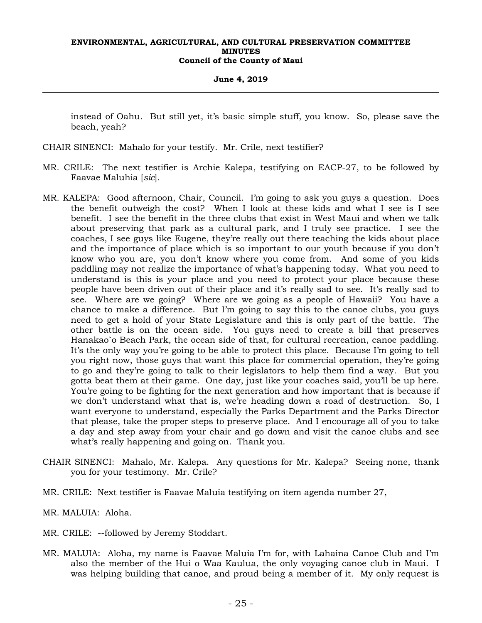#### **June 4, 2019**

instead of Oahu. But still yet, it's basic simple stuff, you know. So, please save the beach, yeah?

- CHAIR SINENCI: Mahalo for your testify. Mr. Crile, next testifier?
- MR. CRILE: The next testifier is Archie Kalepa, testifying on EACP-27, to be followed by Faavae Maluhia [*sic*].
- MR. KALEPA: Good afternoon, Chair, Council. I'm going to ask you guys a question. Does the benefit outweigh the cost? When I look at these kids and what I see is I see benefit. I see the benefit in the three clubs that exist in West Maui and when we talk about preserving that park as a cultural park, and I truly see practice. I see the coaches, I see guys like Eugene, they're really out there teaching the kids about place and the importance of place which is so important to our youth because if you don't know who you are, you don't know where you come from. And some of you kids paddling may not realize the importance of what's happening today. What you need to understand is this is your place and you need to protect your place because these people have been driven out of their place and it's really sad to see. It's really sad to see. Where are we going? Where are we going as a people of Hawaii? You have a chance to make a difference. But I'm going to say this to the canoe clubs, you guys need to get a hold of your State Legislature and this is only part of the battle. The other battle is on the ocean side. You guys need to create a bill that preserves Hanakao`o Beach Park, the ocean side of that, for cultural recreation, canoe paddling. It's the only way you're going to be able to protect this place. Because I'm going to tell you right now, those guys that want this place for commercial operation, they're going to go and they're going to talk to their legislators to help them find a way. But you gotta beat them at their game. One day, just like your coaches said, you'll be up here. You're going to be fighting for the next generation and how important that is because if we don't understand what that is, we're heading down a road of destruction. So, I want everyone to understand, especially the Parks Department and the Parks Director that please, take the proper steps to preserve place. And I encourage all of you to take a day and step away from your chair and go down and visit the canoe clubs and see what's really happening and going on. Thank you.
- CHAIR SINENCI: Mahalo, Mr. Kalepa. Any questions for Mr. Kalepa? Seeing none, thank you for your testimony. Mr. Crile?
- MR. CRILE: Next testifier is Faavae Maluia testifying on item agenda number 27,
- MR. MALUIA: Aloha.
- MR. CRILE: --followed by Jeremy Stoddart.
- MR. MALUIA: Aloha, my name is Faavae Maluia I'm for, with Lahaina Canoe Club and I'm also the member of the Hui o Waa Kaulua, the only voyaging canoe club in Maui. I was helping building that canoe, and proud being a member of it. My only request is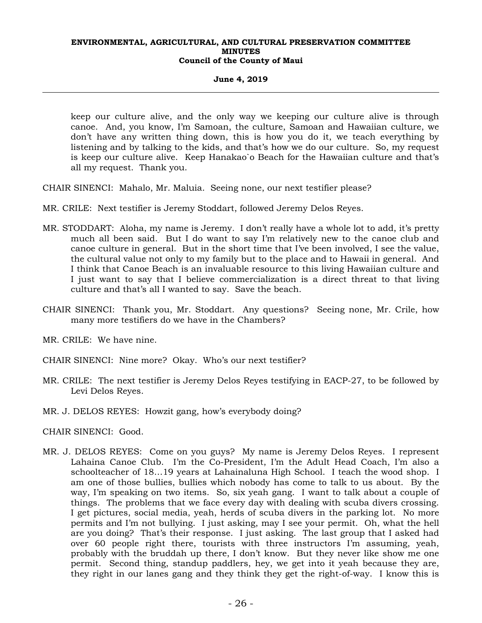#### **June 4, 2019**

keep our culture alive, and the only way we keeping our culture alive is through canoe. And, you know, I'm Samoan, the culture, Samoan and Hawaiian culture, we don't have any written thing down, this is how you do it, we teach everything by listening and by talking to the kids, and that's how we do our culture. So, my request is keep our culture alive. Keep Hanakao`o Beach for the Hawaiian culture and that's all my request. Thank you.

CHAIR SINENCI: Mahalo, Mr. Maluia. Seeing none, our next testifier please?

- MR. CRILE: Next testifier is Jeremy Stoddart, followed Jeremy Delos Reyes.
- MR. STODDART: Aloha, my name is Jeremy. I don't really have a whole lot to add, it's pretty much all been said. But I do want to say I'm relatively new to the canoe club and canoe culture in general. But in the short time that I've been involved, I see the value, the cultural value not only to my family but to the place and to Hawaii in general. And I think that Canoe Beach is an invaluable resource to this living Hawaiian culture and I just want to say that I believe commercialization is a direct threat to that living culture and that's all I wanted to say. Save the beach.
- CHAIR SINENCI: Thank you, Mr. Stoddart. Any questions? Seeing none, Mr. Crile, how many more testifiers do we have in the Chambers?
- MR. CRILE: We have nine.
- CHAIR SINENCI: Nine more? Okay. Who's our next testifier?
- MR. CRILE: The next testifier is Jeremy Delos Reyes testifying in EACP-27, to be followed by Levi Delos Reyes.
- MR. J. DELOS REYES: Howzit gang, how's everybody doing?

CHAIR SINENCI: Good.

MR. J. DELOS REYES: Come on you guys? My name is Jeremy Delos Reyes. I represent Lahaina Canoe Club. I'm the Co-President, I'm the Adult Head Coach, I'm also a schoolteacher of 18…19 years at Lahainaluna High School. I teach the wood shop. I am one of those bullies, bullies which nobody has come to talk to us about. By the way, I'm speaking on two items. So, six yeah gang. I want to talk about a couple of things. The problems that we face every day with dealing with scuba divers crossing. I get pictures, social media, yeah, herds of scuba divers in the parking lot. No more permits and I'm not bullying. I just asking, may I see your permit. Oh, what the hell are you doing? That's their response. I just asking. The last group that I asked had over 60 people right there, tourists with three instructors I'm assuming, yeah, probably with the bruddah up there, I don't know. But they never like show me one permit. Second thing, standup paddlers, hey, we get into it yeah because they are, they right in our lanes gang and they think they get the right-of-way. I know this is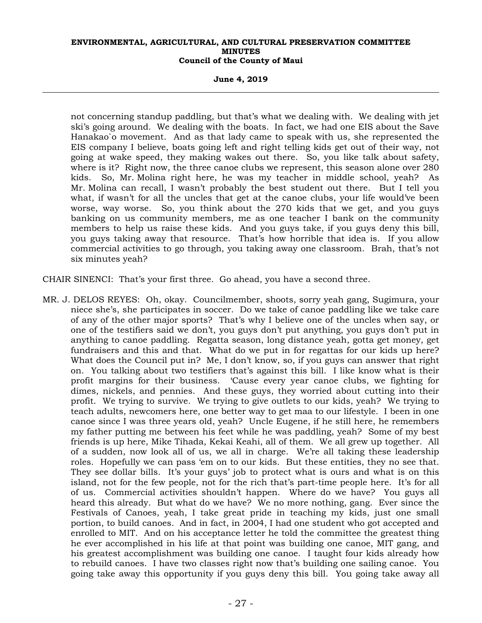**June 4, 2019** 

not concerning standup paddling, but that's what we dealing with. We dealing with jet ski's going around. We dealing with the boats. In fact, we had one EIS about the Save Hanakao`o movement. And as that lady came to speak with us, she represented the EIS company I believe, boats going left and right telling kids get out of their way, not going at wake speed, they making wakes out there. So, you like talk about safety, where is it? Right now, the three canoe clubs we represent, this season alone over 280 kids. So, Mr. Molina right here, he was my teacher in middle school, yeah? As Mr. Molina can recall, I wasn't probably the best student out there. But I tell you what, if wasn't for all the uncles that get at the canoe clubs, your life would've been worse, way worse. So, you think about the 270 kids that we get, and you guys banking on us community members, me as one teacher I bank on the community members to help us raise these kids. And you guys take, if you guys deny this bill, you guys taking away that resource. That's how horrible that idea is. If you allow commercial activities to go through, you taking away one classroom. Brah, that's not six minutes yeah?

CHAIR SINENCI: That's your first three. Go ahead, you have a second three.

MR. J. DELOS REYES: Oh, okay. Councilmember, shoots, sorry yeah gang, Sugimura, your niece she's, she participates in soccer. Do we take of canoe paddling like we take care of any of the other major sports? That's why I believe one of the uncles when say, or one of the testifiers said we don't, you guys don't put anything, you guys don't put in anything to canoe paddling. Regatta season, long distance yeah, gotta get money, get fundraisers and this and that. What do we put in for regattas for our kids up here? What does the Council put in? Me, I don't know, so, if you guys can answer that right on. You talking about two testifiers that's against this bill. I like know what is their profit margins for their business. 'Cause every year canoe clubs, we fighting for dimes, nickels, and pennies. And these guys, they worried about cutting into their profit. We trying to survive. We trying to give outlets to our kids, yeah? We trying to teach adults, newcomers here, one better way to get maa to our lifestyle. I been in one canoe since I was three years old, yeah? Uncle Eugene, if he still here, he remembers my father putting me between his feet while he was paddling, yeah? Some of my best friends is up here, Mike Tihada, Kekai Keahi, all of them. We all grew up together. All of a sudden, now look all of us, we all in charge. We're all taking these leadership roles. Hopefully we can pass 'em on to our kids. But these entities, they no see that. They see dollar bills. It's your guys' job to protect what is ours and what is on this island, not for the few people, not for the rich that's part-time people here. It's for all of us. Commercial activities shouldn't happen. Where do we have? You guys all heard this already. But what do we have? We no more nothing, gang. Ever since the Festivals of Canoes, yeah, I take great pride in teaching my kids, just one small portion, to build canoes. And in fact, in 2004, I had one student who got accepted and enrolled to MIT. And on his acceptance letter he told the committee the greatest thing he ever accomplished in his life at that point was building one canoe, MIT gang, and his greatest accomplishment was building one canoe. I taught four kids already how to rebuild canoes. I have two classes right now that's building one sailing canoe. You going take away this opportunity if you guys deny this bill. You going take away all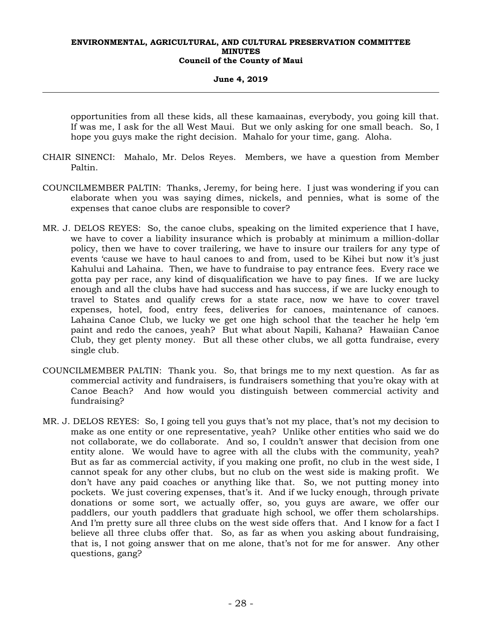#### **June 4, 2019**

opportunities from all these kids, all these kamaainas, everybody, you going kill that. If was me, I ask for the all West Maui. But we only asking for one small beach. So, I hope you guys make the right decision. Mahalo for your time, gang. Aloha.

- CHAIR SINENCI: Mahalo, Mr. Delos Reyes. Members, we have a question from Member Paltin.
- COUNCILMEMBER PALTIN: Thanks, Jeremy, for being here. I just was wondering if you can elaborate when you was saying dimes, nickels, and pennies, what is some of the expenses that canoe clubs are responsible to cover?
- MR. J. DELOS REYES: So, the canoe clubs, speaking on the limited experience that I have, we have to cover a liability insurance which is probably at minimum a million-dollar policy, then we have to cover trailering, we have to insure our trailers for any type of events 'cause we have to haul canoes to and from, used to be Kihei but now it's just Kahului and Lahaina. Then, we have to fundraise to pay entrance fees. Every race we gotta pay per race, any kind of disqualification we have to pay fines. If we are lucky enough and all the clubs have had success and has success, if we are lucky enough to travel to States and qualify crews for a state race, now we have to cover travel expenses, hotel, food, entry fees, deliveries for canoes, maintenance of canoes. Lahaina Canoe Club, we lucky we get one high school that the teacher he help 'em paint and redo the canoes, yeah? But what about Napili, Kahana? Hawaiian Canoe Club, they get plenty money. But all these other clubs, we all gotta fundraise, every single club.
- COUNCILMEMBER PALTIN: Thank you. So, that brings me to my next question. As far as commercial activity and fundraisers, is fundraisers something that you're okay with at Canoe Beach? And how would you distinguish between commercial activity and fundraising?
- MR. J. DELOS REYES: So, I going tell you guys that's not my place, that's not my decision to make as one entity or one representative, yeah? Unlike other entities who said we do not collaborate, we do collaborate. And so, I couldn't answer that decision from one entity alone. We would have to agree with all the clubs with the community, yeah? But as far as commercial activity, if you making one profit, no club in the west side, I cannot speak for any other clubs, but no club on the west side is making profit. We don't have any paid coaches or anything like that. So, we not putting money into pockets. We just covering expenses, that's it. And if we lucky enough, through private donations or some sort, we actually offer, so, you guys are aware, we offer our paddlers, our youth paddlers that graduate high school, we offer them scholarships. And I'm pretty sure all three clubs on the west side offers that. And I know for a fact I believe all three clubs offer that. So, as far as when you asking about fundraising, that is, I not going answer that on me alone, that's not for me for answer. Any other questions, gang?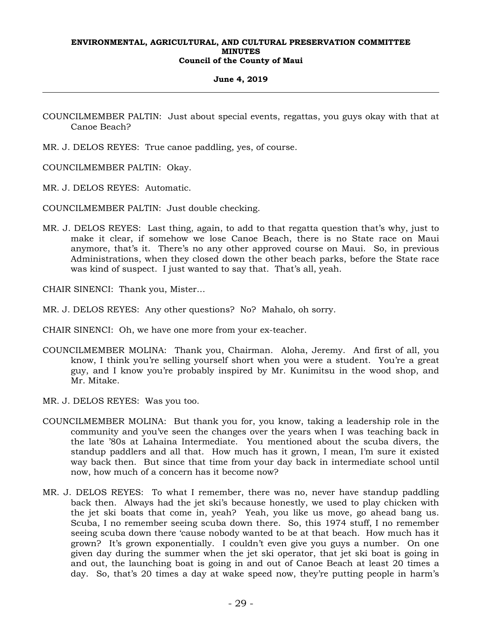#### **June 4, 2019**

- COUNCILMEMBER PALTIN: Just about special events, regattas, you guys okay with that at Canoe Beach?
- MR. J. DELOS REYES: True canoe paddling, yes, of course.
- COUNCILMEMBER PALTIN: Okay.
- MR. J. DELOS REYES: Automatic.
- COUNCILMEMBER PALTIN: Just double checking.
- MR. J. DELOS REYES: Last thing, again, to add to that regatta question that's why, just to make it clear, if somehow we lose Canoe Beach, there is no State race on Maui anymore, that's it. There's no any other approved course on Maui. So, in previous Administrations, when they closed down the other beach parks, before the State race was kind of suspect. I just wanted to say that. That's all, yeah.

CHAIR SINENCI: Thank you, Mister…

- MR. J. DELOS REYES: Any other questions? No? Mahalo, oh sorry.
- CHAIR SINENCI: Oh, we have one more from your ex-teacher.
- COUNCILMEMBER MOLINA: Thank you, Chairman. Aloha, Jeremy. And first of all, you know, I think you're selling yourself short when you were a student. You're a great guy, and I know you're probably inspired by Mr. Kunimitsu in the wood shop, and Mr. Mitake.
- MR. J. DELOS REYES: Was you too.
- COUNCILMEMBER MOLINA: But thank you for, you know, taking a leadership role in the community and you've seen the changes over the years when I was teaching back in the late '80s at Lahaina Intermediate. You mentioned about the scuba divers, the standup paddlers and all that. How much has it grown, I mean, I'm sure it existed way back then. But since that time from your day back in intermediate school until now, how much of a concern has it become now?
- MR. J. DELOS REYES: To what I remember, there was no, never have standup paddling back then. Always had the jet ski's because honestly, we used to play chicken with the jet ski boats that come in, yeah? Yeah, you like us move, go ahead bang us. Scuba, I no remember seeing scuba down there. So, this 1974 stuff, I no remember seeing scuba down there 'cause nobody wanted to be at that beach. How much has it grown? It's grown exponentially. I couldn't even give you guys a number. On one given day during the summer when the jet ski operator, that jet ski boat is going in and out, the launching boat is going in and out of Canoe Beach at least 20 times a day. So, that's 20 times a day at wake speed now, they're putting people in harm's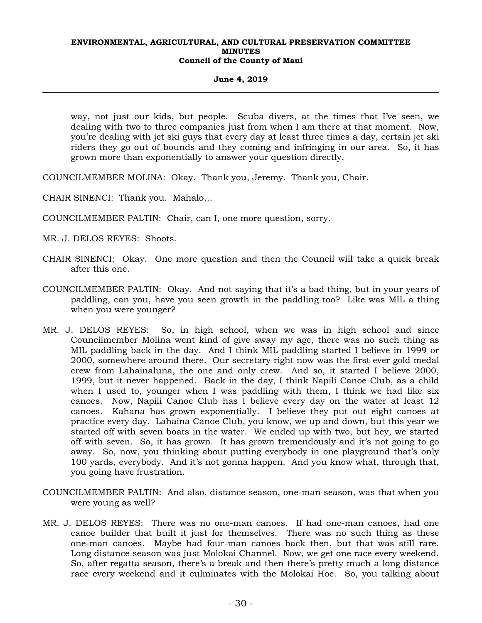#### **June 4, 2019**

way, not just our kids, but people. Scuba divers, at the times that I've seen, we dealing with two to three companies just from when I am there at that moment. Now, you're dealing with jet ski guys that every day at least three times a day, certain jet ski riders they go out of bounds and they coming and infringing in our area. So, it has grown more than exponentially to answer your question directly.

COUNCILMEMBER MOLINA: Okay. Thank you, Jeremy. Thank you, Chair.

CHAIR SINENCI: Thank you. Mahalo…

COUNCILMEMBER PALTIN: Chair, can I, one more question, sorry.

MR. J. DELOS REYES: Shoots.

- CHAIR SINENCI: Okay. One more question and then the Council will take a quick break after this one.
- COUNCILMEMBER PALTIN: Okay. And not saying that it's a bad thing, but in your years of paddling, can you, have you seen growth in the paddling too? Like was MIL a thing when you were younger?
- MR. J. DELOS REYES: So, in high school, when we was in high school and since Councilmember Molina went kind of give away my age, there was no such thing as MIL paddling back in the day. And I think MIL paddling started I believe in 1999 or 2000, somewhere around there. Our secretary right now was the first ever gold medal crew from Lahainaluna, the one and only crew. And so, it started I believe 2000, 1999, but it never happened. Back in the day, I think Napili Canoe Club, as a child when I used to, younger when I was paddling with them, I think we had like six canoes. Now, Napili Canoe Club has I believe every day on the water at least 12 canoes. Kahana has grown exponentially. I believe they put out eight canoes at practice every day. Lahaina Canoe Club, you know, we up and down, but this year we started off with seven boats in the water. We ended up with two, but hey, we started off with seven. So, it has grown. It has grown tremendously and it's not going to go away. So, now, you thinking about putting everybody in one playground that's only 100 yards, everybody. And it's not gonna happen. And you know what, through that, you going have frustration.
- COUNCILMEMBER PALTIN: And also, distance season, one-man season, was that when you were young as well?
- MR. J. DELOS REYES: There was no one-man canoes. If had one-man canoes, had one canoe builder that built it just for themselves. There was no such thing as these one-man canoes. Maybe had four-man canoes back then, but that was still rare. Long distance season was just Molokai Channel. Now, we get one race every weekend. So, after regatta season, there's a break and then there's pretty much a long distance race every weekend and it culminates with the Molokai Hoe. So, you talking about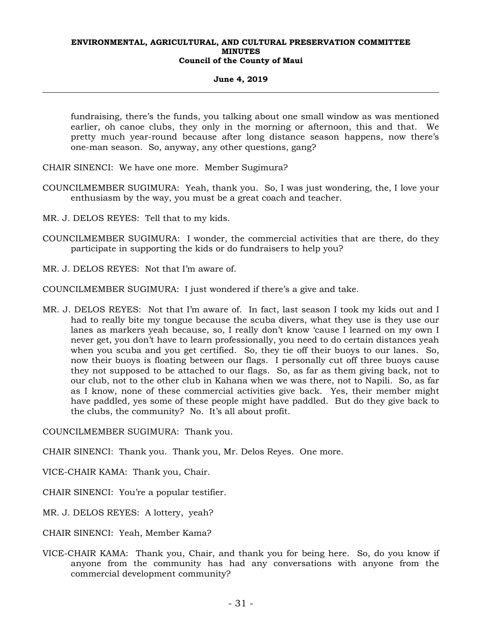#### **June 4, 2019**

fundraising, there's the funds, you talking about one small window as was mentioned earlier, oh canoe clubs, they only in the morning or afternoon, this and that. We pretty much year-round because after long distance season happens, now there's one-man season. So, anyway, any other questions, gang?

CHAIR SINENCI: We have one more. Member Sugimura?

- COUNCILMEMBER SUGIMURA: Yeah, thank you. So, I was just wondering, the, I love your enthusiasm by the way, you must be a great coach and teacher.
- MR. J. DELOS REYES: Tell that to my kids.
- COUNCILMEMBER SUGIMURA: I wonder, the commercial activities that are there, do they participate in supporting the kids or do fundraisers to help you?
- MR. J. DELOS REYES: Not that I'm aware of.

COUNCILMEMBER SUGIMURA: I just wondered if there's a give and take.

MR. J. DELOS REYES: Not that I'm aware of. In fact, last season I took my kids out and I had to really bite my tongue because the scuba divers, what they use is they use our lanes as markers yeah because, so, I really don't know 'cause I learned on my own I never get, you don't have to learn professionally, you need to do certain distances yeah when you scuba and you get certified. So, they tie off their buoys to our lanes. So, now their buoys is floating between our flags. I personally cut off three buoys cause they not supposed to be attached to our flags. So, as far as them giving back, not to our club, not to the other club in Kahana when we was there, not to Napili. So, as far as I know, none of these commercial activities give back. Yes, their member might have paddled, yes some of these people might have paddled. But do they give back to the clubs, the community? No. It's all about profit.

COUNCILMEMBER SUGIMURA: Thank you.

CHAIR SINENCI: Thank you. Thank you, Mr. Delos Reyes. One more.

VICE-CHAIR KAMA: Thank you, Chair.

CHAIR SINENCI: You're a popular testifier.

MR. J. DELOS REYES: A lottery, yeah?

CHAIR SINENCI: Yeah, Member Kama?

VICE-CHAIR KAMA: Thank you, Chair, and thank you for being here. So, do you know if anyone from the community has had any conversations with anyone from the commercial development community?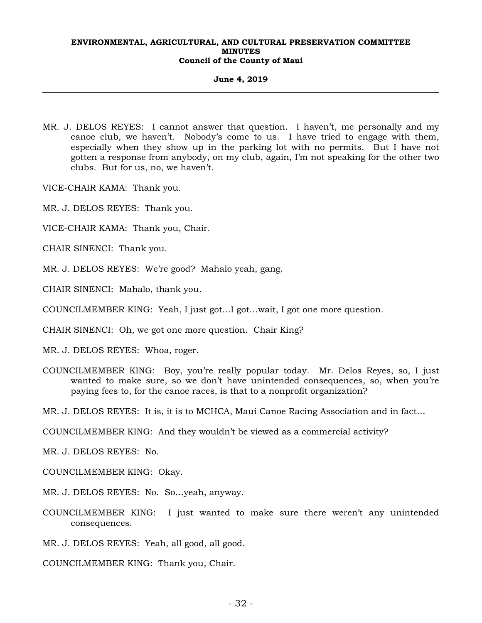**June 4, 2019** 

MR. J. DELOS REYES: I cannot answer that question. I haven't, me personally and my canoe club, we haven't. Nobody's come to us. I have tried to engage with them, especially when they show up in the parking lot with no permits. But I have not gotten a response from anybody, on my club, again, I'm not speaking for the other two clubs. But for us, no, we haven't.

VICE-CHAIR KAMA: Thank you.

- MR. J. DELOS REYES: Thank you.
- VICE-CHAIR KAMA: Thank you, Chair.
- CHAIR SINENCI: Thank you.

MR. J. DELOS REYES: We're good? Mahalo yeah, gang.

CHAIR SINENCI: Mahalo, thank you.

COUNCILMEMBER KING: Yeah, I just got…I got…wait, I got one more question.

CHAIR SINENCI: Oh, we got one more question. Chair King?

MR. J. DELOS REYES: Whoa, roger.

COUNCILMEMBER KING: Boy, you're really popular today. Mr. Delos Reyes, so, I just wanted to make sure, so we don't have unintended consequences, so, when you're paying fees to, for the canoe races, is that to a nonprofit organization?

MR. J. DELOS REYES: It is, it is to MCHCA, Maui Canoe Racing Association and in fact…

COUNCILMEMBER KING: And they wouldn't be viewed as a commercial activity?

MR. J. DELOS REYES: No.

COUNCILMEMBER KING: Okay.

- MR. J. DELOS REYES: No. So…yeah, anyway.
- COUNCILMEMBER KING: I just wanted to make sure there weren't any unintended consequences.
- MR. J. DELOS REYES: Yeah, all good, all good.

COUNCILMEMBER KING: Thank you, Chair.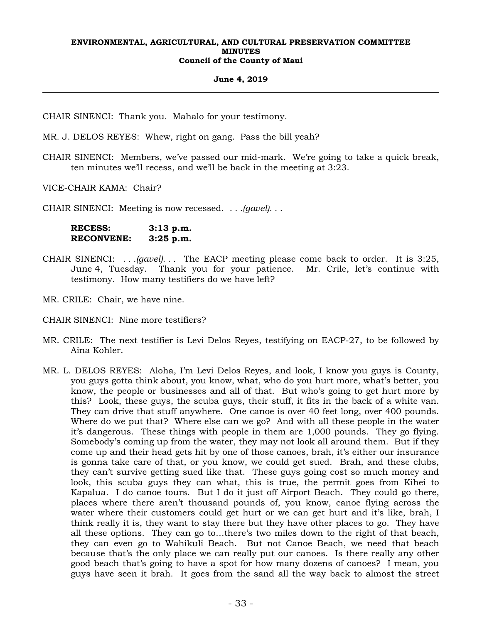#### **June 4, 2019**

CHAIR SINENCI: Thank you. Mahalo for your testimony.

MR. J. DELOS REYES: Whew, right on gang. Pass the bill yeah?

CHAIR SINENCI: Members, we've passed our mid-mark. We're going to take a quick break, ten minutes we'll recess, and we'll be back in the meeting at 3:23.

VICE-CHAIR KAMA: Chair?

CHAIR SINENCI: Meeting is now recessed. . *. .(gavel). . .* 

**RECESS: 3:13 p.m. RECONVENE: 3:25 p.m.** 

- CHAIR SINENCI: *. . .(gavel). . .* The EACP meeting please come back to order. It is 3:25, June 4, Tuesday. Thank you for your patience. Mr. Crile, let's continue with testimony. How many testifiers do we have left?
- MR. CRILE: Chair, we have nine.

CHAIR SINENCI: Nine more testifiers?

- MR. CRILE: The next testifier is Levi Delos Reyes, testifying on EACP-27, to be followed by Aina Kohler.
- MR. L. DELOS REYES: Aloha, I'm Levi Delos Reyes, and look, I know you guys is County, you guys gotta think about, you know, what, who do you hurt more, what's better, you know, the people or businesses and all of that. But who's going to get hurt more by this? Look, these guys, the scuba guys, their stuff, it fits in the back of a white van. They can drive that stuff anywhere. One canoe is over 40 feet long, over 400 pounds. Where do we put that? Where else can we go? And with all these people in the water it's dangerous. These things with people in them are 1,000 pounds. They go flying. Somebody's coming up from the water, they may not look all around them. But if they come up and their head gets hit by one of those canoes, brah, it's either our insurance is gonna take care of that, or you know, we could get sued. Brah, and these clubs, they can't survive getting sued like that. These guys going cost so much money and look, this scuba guys they can what, this is true, the permit goes from Kihei to Kapalua. I do canoe tours. But I do it just off Airport Beach. They could go there, places where there aren't thousand pounds of, you know, canoe flying across the water where their customers could get hurt or we can get hurt and it's like, brah, I think really it is, they want to stay there but they have other places to go. They have all these options. They can go to…there's two miles down to the right of that beach, they can even go to Wahikuli Beach. But not Canoe Beach, we need that beach because that's the only place we can really put our canoes. Is there really any other good beach that's going to have a spot for how many dozens of canoes? I mean, you guys have seen it brah. It goes from the sand all the way back to almost the street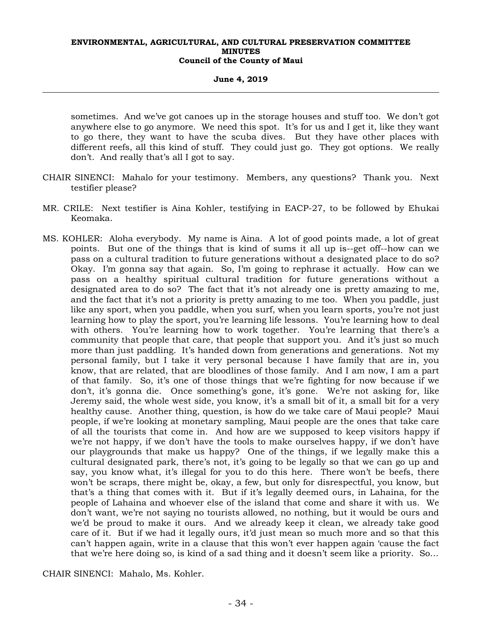#### **June 4, 2019**

sometimes. And we've got canoes up in the storage houses and stuff too. We don't got anywhere else to go anymore. We need this spot. It's for us and I get it, like they want to go there, they want to have the scuba dives. But they have other places with different reefs, all this kind of stuff. They could just go. They got options. We really don't. And really that's all I got to say.

- CHAIR SINENCI: Mahalo for your testimony. Members, any questions? Thank you. Next testifier please?
- MR. CRILE: Next testifier is Aina Kohler, testifying in EACP-27, to be followed by Ehukai Keomaka.
- MS. KOHLER: Aloha everybody. My name is Aina. A lot of good points made, a lot of great points. But one of the things that is kind of sums it all up is--get off--how can we pass on a cultural tradition to future generations without a designated place to do so? Okay. I'm gonna say that again. So, I'm going to rephrase it actually. How can we pass on a healthy spiritual cultural tradition for future generations without a designated area to do so? The fact that it's not already one is pretty amazing to me, and the fact that it's not a priority is pretty amazing to me too. When you paddle, just like any sport, when you paddle, when you surf, when you learn sports, you're not just learning how to play the sport, you're learning life lessons. You're learning how to deal with others. You're learning how to work together. You're learning that there's a community that people that care, that people that support you. And it's just so much more than just paddling. It's handed down from generations and generations. Not my personal family, but I take it very personal because I have family that are in, you know, that are related, that are bloodlines of those family. And I am now, I am a part of that family. So, it's one of those things that we're fighting for now because if we don't, it's gonna die. Once something's gone, it's gone. We're not asking for, like Jeremy said, the whole west side, you know, it's a small bit of it, a small bit for a very healthy cause. Another thing, question, is how do we take care of Maui people? Maui people, if we're looking at monetary sampling, Maui people are the ones that take care of all the tourists that come in. And how are we supposed to keep visitors happy if we're not happy, if we don't have the tools to make ourselves happy, if we don't have our playgrounds that make us happy? One of the things, if we legally make this a cultural designated park, there's not, it's going to be legally so that we can go up and say, you know what, it's illegal for you to do this here. There won't be beefs, there won't be scraps, there might be, okay, a few, but only for disrespectful, you know, but that's a thing that comes with it. But if it's legally deemed ours, in Lahaina, for the people of Lahaina and whoever else of the island that come and share it with us. We don't want, we're not saying no tourists allowed, no nothing, but it would be ours and we'd be proud to make it ours. And we already keep it clean, we already take good care of it. But if we had it legally ours, it'd just mean so much more and so that this can't happen again, write in a clause that this won't ever happen again 'cause the fact that we're here doing so, is kind of a sad thing and it doesn't seem like a priority. So…

CHAIR SINENCI: Mahalo, Ms. Kohler.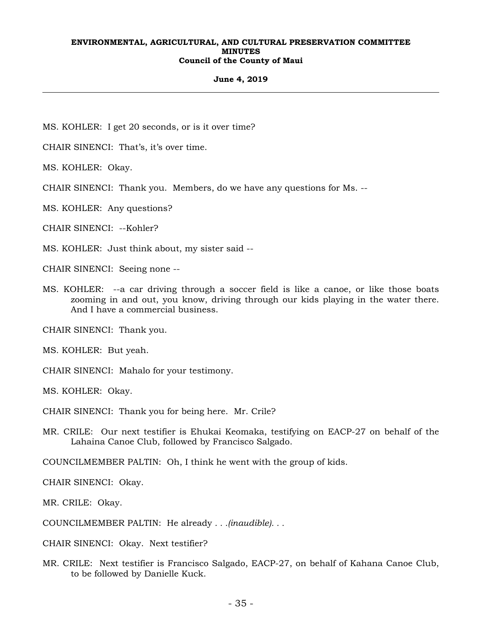#### **June 4, 2019**

MS. KOHLER: I get 20 seconds, or is it over time?

CHAIR SINENCI: That's, it's over time.

MS. KOHLER: Okay.

CHAIR SINENCI: Thank you. Members, do we have any questions for Ms. --

MS. KOHLER: Any questions?

CHAIR SINENCI: --Kohler?

MS. KOHLER: Just think about, my sister said --

CHAIR SINENCI: Seeing none --

MS. KOHLER: --a car driving through a soccer field is like a canoe, or like those boats zooming in and out, you know, driving through our kids playing in the water there. And I have a commercial business.

CHAIR SINENCI: Thank you.

MS. KOHLER: But yeah.

CHAIR SINENCI: Mahalo for your testimony.

MS. KOHLER: Okay.

CHAIR SINENCI: Thank you for being here. Mr. Crile?

MR. CRILE: Our next testifier is Ehukai Keomaka, testifying on EACP-27 on behalf of the Lahaina Canoe Club, followed by Francisco Salgado.

COUNCILMEMBER PALTIN: Oh, I think he went with the group of kids.

CHAIR SINENCI: Okay.

MR. CRILE: Okay.

COUNCILMEMBER PALTIN: He already *. . .(inaudible). . .*

CHAIR SINENCI: Okay. Next testifier?

MR. CRILE: Next testifier is Francisco Salgado, EACP-27, on behalf of Kahana Canoe Club, to be followed by Danielle Kuck.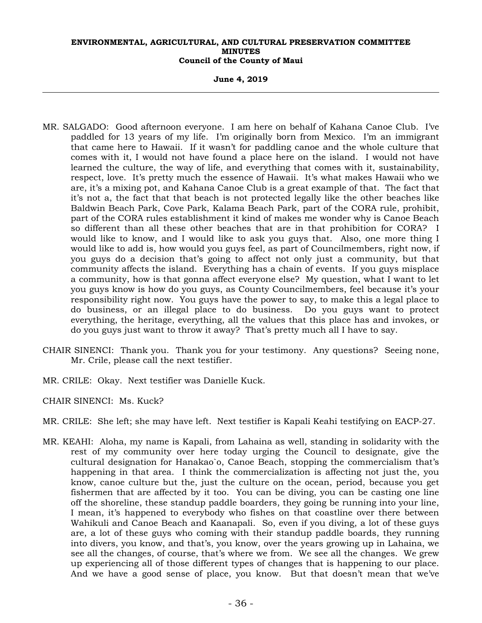**June 4, 2019** 

- MR. SALGADO: Good afternoon everyone. I am here on behalf of Kahana Canoe Club. I've paddled for 13 years of my life. I'm originally born from Mexico. I'm an immigrant that came here to Hawaii. If it wasn't for paddling canoe and the whole culture that comes with it, I would not have found a place here on the island. I would not have learned the culture, the way of life, and everything that comes with it, sustainability, respect, love. It's pretty much the essence of Hawaii. It's what makes Hawaii who we are, it's a mixing pot, and Kahana Canoe Club is a great example of that. The fact that it's not a, the fact that that beach is not protected legally like the other beaches like Baldwin Beach Park, Cove Park, Kalama Beach Park, part of the CORA rule, prohibit, part of the CORA rules establishment it kind of makes me wonder why is Canoe Beach so different than all these other beaches that are in that prohibition for CORA? I would like to know, and I would like to ask you guys that. Also, one more thing I would like to add is, how would you guys feel, as part of Councilmembers, right now, if you guys do a decision that's going to affect not only just a community, but that community affects the island. Everything has a chain of events. If you guys misplace a community, how is that gonna affect everyone else? My question, what I want to let you guys know is how do you guys, as County Councilmembers, feel because it's your responsibility right now. You guys have the power to say, to make this a legal place to do business, or an illegal place to do business. Do you guys want to protect everything, the heritage, everything, all the values that this place has and invokes, or do you guys just want to throw it away? That's pretty much all I have to say.
- CHAIR SINENCI: Thank you. Thank you for your testimony. Any questions? Seeing none, Mr. Crile, please call the next testifier.
- MR. CRILE: Okay. Next testifier was Danielle Kuck.
- CHAIR SINENCI: Ms. Kuck?
- MR. CRILE: She left; she may have left. Next testifier is Kapali Keahi testifying on EACP-27.
- MR. KEAHI: Aloha, my name is Kapali, from Lahaina as well, standing in solidarity with the rest of my community over here today urging the Council to designate, give the cultural designation for Hanakao`o, Canoe Beach, stopping the commercialism that's happening in that area. I think the commercialization is affecting not just the, you know, canoe culture but the, just the culture on the ocean, period, because you get fishermen that are affected by it too. You can be diving, you can be casting one line off the shoreline, these standup paddle boarders, they going be running into your line, I mean, it's happened to everybody who fishes on that coastline over there between Wahikuli and Canoe Beach and Kaanapali. So, even if you diving, a lot of these guys are, a lot of these guys who coming with their standup paddle boards, they running into divers, you know, and that's, you know, over the years growing up in Lahaina, we see all the changes, of course, that's where we from. We see all the changes. We grew up experiencing all of those different types of changes that is happening to our place. And we have a good sense of place, you know. But that doesn't mean that we've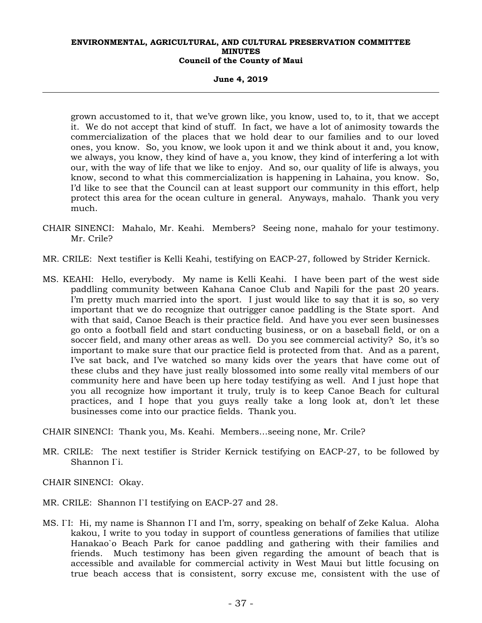**June 4, 2019** 

grown accustomed to it, that we've grown like, you know, used to, to it, that we accept it. We do not accept that kind of stuff. In fact, we have a lot of animosity towards the commercialization of the places that we hold dear to our families and to our loved ones, you know. So, you know, we look upon it and we think about it and, you know, we always, you know, they kind of have a, you know, they kind of interfering a lot with our, with the way of life that we like to enjoy. And so, our quality of life is always, you know, second to what this commercialization is happening in Lahaina, you know. So, I'd like to see that the Council can at least support our community in this effort, help protect this area for the ocean culture in general. Anyways, mahalo. Thank you very much.

- CHAIR SINENCI: Mahalo, Mr. Keahi. Members? Seeing none, mahalo for your testimony. Mr. Crile?
- MR. CRILE: Next testifier is Kelli Keahi, testifying on EACP-27, followed by Strider Kernick.
- MS. KEAHI: Hello, everybody. My name is Kelli Keahi. I have been part of the west side paddling community between Kahana Canoe Club and Napili for the past 20 years. I'm pretty much married into the sport. I just would like to say that it is so, so very important that we do recognize that outrigger canoe paddling is the State sport. And with that said, Canoe Beach is their practice field. And have you ever seen businesses go onto a football field and start conducting business, or on a baseball field, or on a soccer field, and many other areas as well. Do you see commercial activity? So, it's so important to make sure that our practice field is protected from that. And as a parent, I've sat back, and I've watched so many kids over the years that have come out of these clubs and they have just really blossomed into some really vital members of our community here and have been up here today testifying as well. And I just hope that you all recognize how important it truly, truly is to keep Canoe Beach for cultural practices, and I hope that you guys really take a long look at, don't let these businesses come into our practice fields. Thank you.

CHAIR SINENCI: Thank you, Ms. Keahi. Members…seeing none, Mr. Crile?

MR. CRILE: The next testifier is Strider Kernick testifying on EACP-27, to be followed by Shannon I`i.

CHAIR SINENCI: Okay.

- MR. CRILE: Shannon I`I testifying on EACP-27 and 28.
- MS. I`I: Hi, my name is Shannon I`I and I'm, sorry, speaking on behalf of Zeke Kalua. Aloha kakou, I write to you today in support of countless generations of families that utilize Hanakao`o Beach Park for canoe paddling and gathering with their families and friends. Much testimony has been given regarding the amount of beach that is accessible and available for commercial activity in West Maui but little focusing on true beach access that is consistent, sorry excuse me, consistent with the use of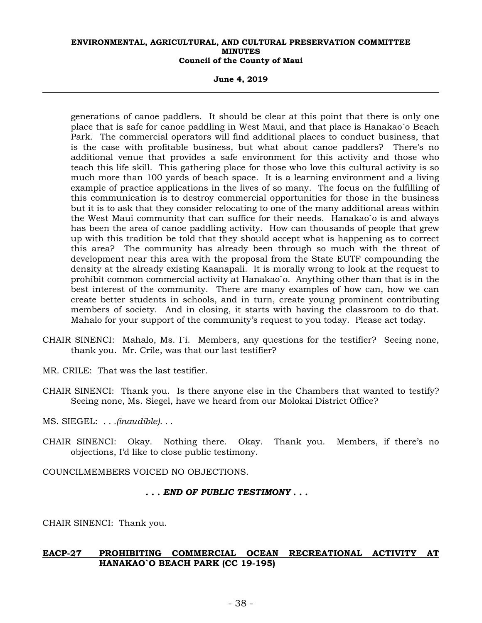**June 4, 2019** 

generations of canoe paddlers. It should be clear at this point that there is only one place that is safe for canoe paddling in West Maui, and that place is Hanakao`o Beach Park. The commercial operators will find additional places to conduct business, that is the case with profitable business, but what about canoe paddlers? There's no additional venue that provides a safe environment for this activity and those who teach this life skill. This gathering place for those who love this cultural activity is so much more than 100 yards of beach space. It is a learning environment and a living example of practice applications in the lives of so many. The focus on the fulfilling of this communication is to destroy commercial opportunities for those in the business but it is to ask that they consider relocating to one of the many additional areas within the West Maui community that can suffice for their needs. Hanakao`o is and always has been the area of canoe paddling activity. How can thousands of people that grew up with this tradition be told that they should accept what is happening as to correct this area? The community has already been through so much with the threat of development near this area with the proposal from the State EUTF compounding the density at the already existing Kaanapali. It is morally wrong to look at the request to prohibit common commercial activity at Hanakao`o. Anything other than that is in the best interest of the community. There are many examples of how can, how we can create better students in schools, and in turn, create young prominent contributing members of society. And in closing, it starts with having the classroom to do that. Mahalo for your support of the community's request to you today. Please act today.

- CHAIR SINENCI: Mahalo, Ms. I`i. Members, any questions for the testifier? Seeing none, thank you. Mr. Crile, was that our last testifier?
- MR. CRILE: That was the last testifier.
- CHAIR SINENCI: Thank you. Is there anyone else in the Chambers that wanted to testify? Seeing none, Ms. Siegel, have we heard from our Molokai District Office?
- MS. SIEGEL: *. . .(inaudible). . .*
- CHAIR SINENCI: Okay. Nothing there. Okay. Thank you. Members, if there's no objections, I'd like to close public testimony.

COUNCILMEMBERS VOICED NO OBJECTIONS.

#### *. . . END OF PUBLIC TESTIMONY . . .*

CHAIR SINENCI: Thank you.

# **EACP-27 PROHIBITING COMMERCIAL OCEAN RECREATIONAL ACTIVITY AT HANAKAO`O BEACH PARK (CC 19-195)**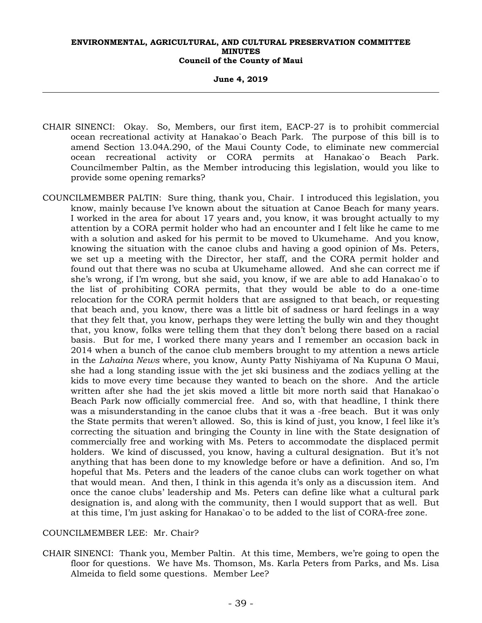**June 4, 2019** 

- CHAIR SINENCI: Okay. So, Members, our first item, EACP-27 is to prohibit commercial ocean recreational activity at Hanakao`o Beach Park. The purpose of this bill is to amend Section 13.04A.290, of the Maui County Code, to eliminate new commercial ocean recreational activity or CORA permits at Hanakao`o Beach Park. Councilmember Paltin, as the Member introducing this legislation, would you like to provide some opening remarks?
- COUNCILMEMBER PALTIN: Sure thing, thank you, Chair. I introduced this legislation, you know, mainly because I've known about the situation at Canoe Beach for many years. I worked in the area for about 17 years and, you know, it was brought actually to my attention by a CORA permit holder who had an encounter and I felt like he came to me with a solution and asked for his permit to be moved to Ukumehame. And you know, knowing the situation with the canoe clubs and having a good opinion of Ms. Peters, we set up a meeting with the Director, her staff, and the CORA permit holder and found out that there was no scuba at Ukumehame allowed. And she can correct me if she's wrong, if I'm wrong, but she said, you know, if we are able to add Hanakao`o to the list of prohibiting CORA permits, that they would be able to do a one-time relocation for the CORA permit holders that are assigned to that beach, or requesting that beach and, you know, there was a little bit of sadness or hard feelings in a way that they felt that, you know, perhaps they were letting the bully win and they thought that, you know, folks were telling them that they don't belong there based on a racial basis. But for me, I worked there many years and I remember an occasion back in 2014 when a bunch of the canoe club members brought to my attention a news article in the *Lahaina News* where, you know, Aunty Patty Nishiyama of Na Kupuna O Maui, she had a long standing issue with the jet ski business and the zodiacs yelling at the kids to move every time because they wanted to beach on the shore. And the article written after she had the jet skis moved a little bit more north said that Hanakao`o Beach Park now officially commercial free. And so, with that headline, I think there was a misunderstanding in the canoe clubs that it was a -free beach. But it was only the State permits that weren't allowed. So, this is kind of just, you know, I feel like it's correcting the situation and bringing the County in line with the State designation of commercially free and working with Ms. Peters to accommodate the displaced permit holders. We kind of discussed, you know, having a cultural designation. But it's not anything that has been done to my knowledge before or have a definition. And so, I'm hopeful that Ms. Peters and the leaders of the canoe clubs can work together on what that would mean. And then, I think in this agenda it's only as a discussion item. And once the canoe clubs' leadership and Ms. Peters can define like what a cultural park designation is, and along with the community, then I would support that as well. But at this time, I'm just asking for Hanakao`o to be added to the list of CORA-free zone.

## COUNCILMEMBER LEE: Mr. Chair?

CHAIR SINENCI: Thank you, Member Paltin. At this time, Members, we're going to open the floor for questions. We have Ms. Thomson, Ms. Karla Peters from Parks, and Ms. Lisa Almeida to field some questions. Member Lee?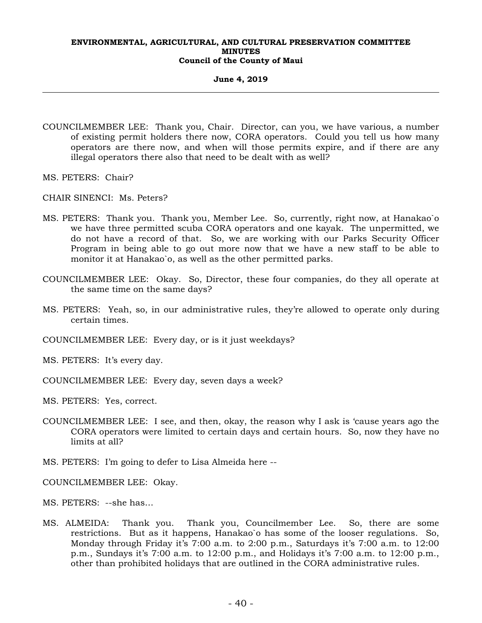#### **June 4, 2019**

- COUNCILMEMBER LEE: Thank you, Chair. Director, can you, we have various, a number of existing permit holders there now, CORA operators. Could you tell us how many operators are there now, and when will those permits expire, and if there are any illegal operators there also that need to be dealt with as well?
- MS. PETERS: Chair?
- CHAIR SINENCI: Ms. Peters?
- MS. PETERS: Thank you. Thank you, Member Lee. So, currently, right now, at Hanakao`o we have three permitted scuba CORA operators and one kayak. The unpermitted, we do not have a record of that. So, we are working with our Parks Security Officer Program in being able to go out more now that we have a new staff to be able to monitor it at Hanakao`o, as well as the other permitted parks.
- COUNCILMEMBER LEE: Okay. So, Director, these four companies, do they all operate at the same time on the same days?
- MS. PETERS: Yeah, so, in our administrative rules, they're allowed to operate only during certain times.
- COUNCILMEMBER LEE: Every day, or is it just weekdays?
- MS. PETERS: It's every day.
- COUNCILMEMBER LEE: Every day, seven days a week?
- MS. PETERS: Yes, correct.
- COUNCILMEMBER LEE: I see, and then, okay, the reason why I ask is 'cause years ago the CORA operators were limited to certain days and certain hours. So, now they have no limits at all?
- MS. PETERS: I'm going to defer to Lisa Almeida here --
- COUNCILMEMBER LEE: Okay.
- MS. PETERS: --she has…
- MS. ALMEIDA: Thank you. Thank you, Councilmember Lee. So, there are some restrictions. But as it happens, Hanakao`o has some of the looser regulations. So, Monday through Friday it's 7:00 a.m. to 2:00 p.m., Saturdays it's 7:00 a.m. to 12:00 p.m., Sundays it's 7:00 a.m. to 12:00 p.m., and Holidays it's 7:00 a.m. to 12:00 p.m., other than prohibited holidays that are outlined in the CORA administrative rules.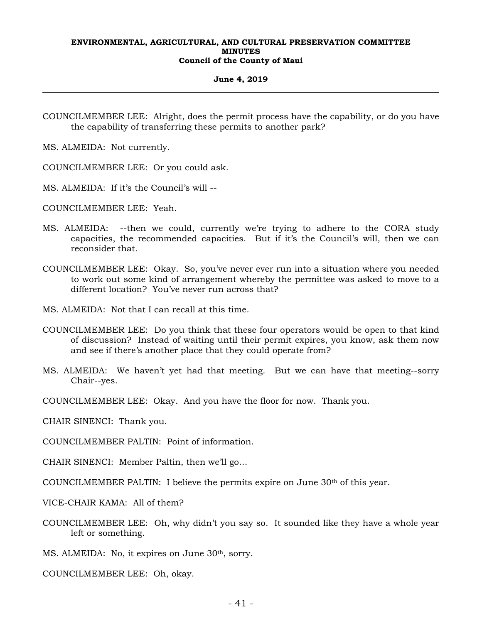#### **June 4, 2019**

COUNCILMEMBER LEE: Alright, does the permit process have the capability, or do you have the capability of transferring these permits to another park?

MS. ALMEIDA: Not currently.

COUNCILMEMBER LEE: Or you could ask.

MS. ALMEIDA: If it's the Council's will --

COUNCILMEMBER LEE: Yeah.

- MS. ALMEIDA: --then we could, currently we're trying to adhere to the CORA study capacities, the recommended capacities. But if it's the Council's will, then we can reconsider that.
- COUNCILMEMBER LEE: Okay. So, you've never ever run into a situation where you needed to work out some kind of arrangement whereby the permittee was asked to move to a different location? You've never run across that?
- MS. ALMEIDA: Not that I can recall at this time.
- COUNCILMEMBER LEE: Do you think that these four operators would be open to that kind of discussion? Instead of waiting until their permit expires, you know, ask them now and see if there's another place that they could operate from?
- MS. ALMEIDA: We haven't yet had that meeting. But we can have that meeting--sorry Chair--yes.
- COUNCILMEMBER LEE: Okay. And you have the floor for now. Thank you.

CHAIR SINENCI: Thank you.

COUNCILMEMBER PALTIN: Point of information.

CHAIR SINENCI: Member Paltin, then we'll go…

COUNCILMEMBER PALTIN: I believe the permits expire on June  $30<sup>th</sup>$  of this year.

VICE-CHAIR KAMA: All of them?

COUNCILMEMBER LEE: Oh, why didn't you say so. It sounded like they have a whole year left or something.

MS. ALMEIDA: No, it expires on June 30<sup>th</sup>, sorry.

COUNCILMEMBER LEE: Oh, okay.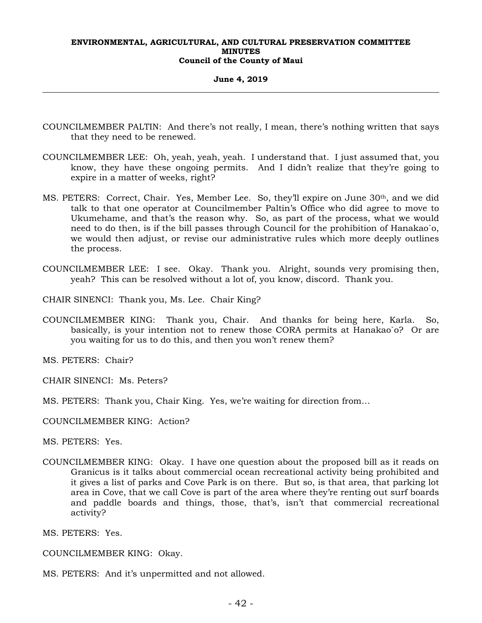**June 4, 2019** 

- COUNCILMEMBER PALTIN: And there's not really, I mean, there's nothing written that says that they need to be renewed.
- COUNCILMEMBER LEE: Oh, yeah, yeah, yeah. I understand that. I just assumed that, you know, they have these ongoing permits. And I didn't realize that they're going to expire in a matter of weeks, right?
- MS. PETERS: Correct, Chair. Yes, Member Lee. So, they'll expire on June 30th, and we did talk to that one operator at Councilmember Paltin's Office who did agree to move to Ukumehame, and that's the reason why. So, as part of the process, what we would need to do then, is if the bill passes through Council for the prohibition of Hanakao`o, we would then adjust, or revise our administrative rules which more deeply outlines the process.
- COUNCILMEMBER LEE: I see. Okay. Thank you. Alright, sounds very promising then, yeah? This can be resolved without a lot of, you know, discord. Thank you.
- CHAIR SINENCI: Thank you, Ms. Lee. Chair King?
- COUNCILMEMBER KING: Thank you, Chair. And thanks for being here, Karla. So, basically, is your intention not to renew those CORA permits at Hanakao`o? Or are you waiting for us to do this, and then you won't renew them?

MS. PETERS: Chair?

- CHAIR SINENCI: Ms. Peters?
- MS. PETERS: Thank you, Chair King. Yes, we're waiting for direction from…
- COUNCILMEMBER KING: Action?

MS. PETERS: Yes.

COUNCILMEMBER KING: Okay. I have one question about the proposed bill as it reads on Granicus is it talks about commercial ocean recreational activity being prohibited and it gives a list of parks and Cove Park is on there. But so, is that area, that parking lot area in Cove, that we call Cove is part of the area where they're renting out surf boards and paddle boards and things, those, that's, isn't that commercial recreational activity?

MS. PETERS: Yes.

COUNCILMEMBER KING: Okay.

MS. PETERS: And it's unpermitted and not allowed.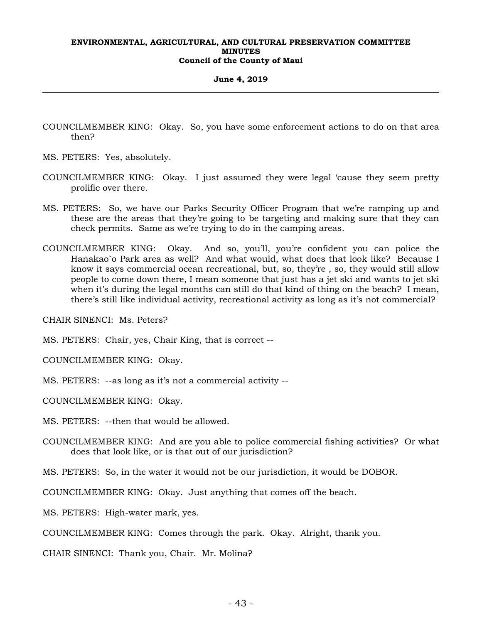#### **June 4, 2019**

- COUNCILMEMBER KING: Okay. So, you have some enforcement actions to do on that area then?
- MS. PETERS: Yes, absolutely.
- COUNCILMEMBER KING: Okay. I just assumed they were legal 'cause they seem pretty prolific over there.
- MS. PETERS: So, we have our Parks Security Officer Program that we're ramping up and these are the areas that they're going to be targeting and making sure that they can check permits. Same as we're trying to do in the camping areas.
- COUNCILMEMBER KING: Okay. And so, you'll, you're confident you can police the Hanakao`o Park area as well? And what would, what does that look like? Because I know it says commercial ocean recreational, but, so, they're , so, they would still allow people to come down there, I mean someone that just has a jet ski and wants to jet ski when it's during the legal months can still do that kind of thing on the beach? I mean, there's still like individual activity, recreational activity as long as it's not commercial?

CHAIR SINENCI: Ms. Peters?

MS. PETERS: Chair, yes, Chair King, that is correct --

COUNCILMEMBER KING: Okay.

MS. PETERS: --as long as it's not a commercial activity --

COUNCILMEMBER KING: Okay.

MS. PETERS: --then that would be allowed.

COUNCILMEMBER KING: And are you able to police commercial fishing activities? Or what does that look like, or is that out of our jurisdiction?

MS. PETERS: So, in the water it would not be our jurisdiction, it would be DOBOR.

COUNCILMEMBER KING: Okay. Just anything that comes off the beach.

MS. PETERS: High-water mark, yes.

COUNCILMEMBER KING: Comes through the park. Okay. Alright, thank you.

CHAIR SINENCI: Thank you, Chair. Mr. Molina?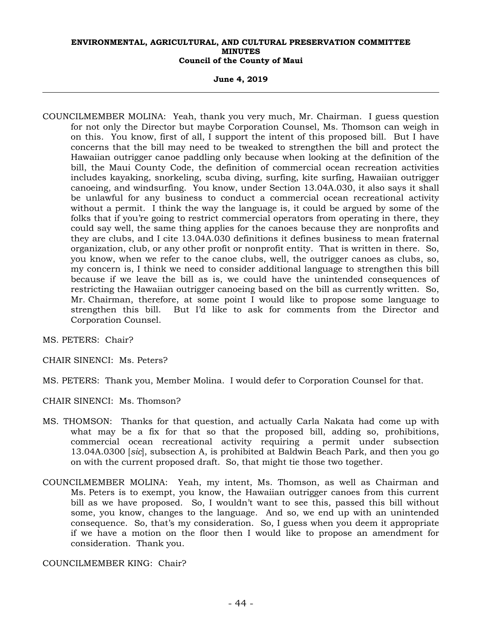**June 4, 2019** 

COUNCILMEMBER MOLINA: Yeah, thank you very much, Mr. Chairman. I guess question for not only the Director but maybe Corporation Counsel, Ms. Thomson can weigh in on this. You know, first of all, I support the intent of this proposed bill. But I have concerns that the bill may need to be tweaked to strengthen the bill and protect the Hawaiian outrigger canoe paddling only because when looking at the definition of the bill, the Maui County Code, the definition of commercial ocean recreation activities includes kayaking, snorkeling, scuba diving, surfing, kite surfing, Hawaiian outrigger canoeing, and windsurfing. You know, under Section 13.04A.030, it also says it shall be unlawful for any business to conduct a commercial ocean recreational activity without a permit. I think the way the language is, it could be argued by some of the folks that if you're going to restrict commercial operators from operating in there, they could say well, the same thing applies for the canoes because they are nonprofits and they are clubs, and I cite 13.04A.030 definitions it defines business to mean fraternal organization, club, or any other profit or nonprofit entity. That is written in there. So, you know, when we refer to the canoe clubs, well, the outrigger canoes as clubs, so, my concern is, I think we need to consider additional language to strengthen this bill because if we leave the bill as is, we could have the unintended consequences of restricting the Hawaiian outrigger canoeing based on the bill as currently written. So, Mr. Chairman, therefore, at some point I would like to propose some language to strengthen this bill. But I'd like to ask for comments from the Director and Corporation Counsel.

MS. PETERS: Chair?

CHAIR SINENCI: Ms. Peters?

MS. PETERS: Thank you, Member Molina. I would defer to Corporation Counsel for that.

CHAIR SINENCI: Ms. Thomson?

- MS. THOMSON: Thanks for that question, and actually Carla Nakata had come up with what may be a fix for that so that the proposed bill, adding so, prohibitions, commercial ocean recreational activity requiring a permit under subsection 13.04A.0300 [*sic*], subsection A, is prohibited at Baldwin Beach Park, and then you go on with the current proposed draft. So, that might tie those two together.
- COUNCILMEMBER MOLINA: Yeah, my intent, Ms. Thomson, as well as Chairman and Ms. Peters is to exempt, you know, the Hawaiian outrigger canoes from this current bill as we have proposed. So, I wouldn't want to see this, passed this bill without some, you know, changes to the language. And so, we end up with an unintended consequence. So, that's my consideration. So, I guess when you deem it appropriate if we have a motion on the floor then I would like to propose an amendment for consideration. Thank you.

COUNCILMEMBER KING: Chair?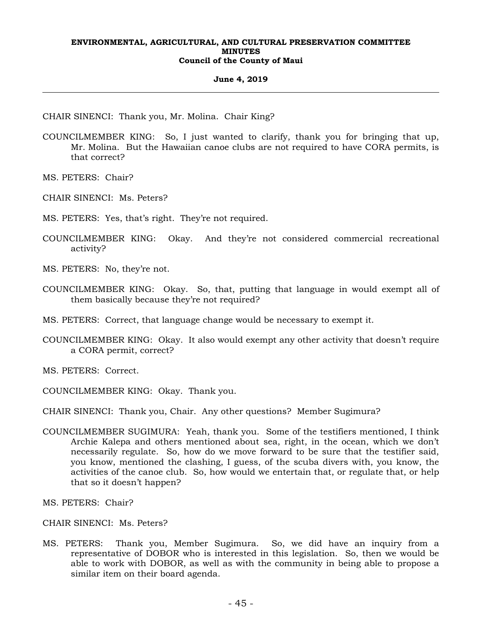#### **June 4, 2019**

CHAIR SINENCI: Thank you, Mr. Molina. Chair King?

- COUNCILMEMBER KING: So, I just wanted to clarify, thank you for bringing that up, Mr. Molina. But the Hawaiian canoe clubs are not required to have CORA permits, is that correct?
- MS. PETERS: Chair?

CHAIR SINENCI: Ms. Peters?

MS. PETERS: Yes, that's right. They're not required.

- COUNCILMEMBER KING: Okay. And they're not considered commercial recreational activity?
- MS. PETERS: No, they're not.
- COUNCILMEMBER KING: Okay. So, that, putting that language in would exempt all of them basically because they're not required?
- MS. PETERS: Correct, that language change would be necessary to exempt it.
- COUNCILMEMBER KING: Okay. It also would exempt any other activity that doesn't require a CORA permit, correct?

MS. PETERS: Correct.

COUNCILMEMBER KING: Okay. Thank you.

CHAIR SINENCI: Thank you, Chair. Any other questions? Member Sugimura?

COUNCILMEMBER SUGIMURA: Yeah, thank you. Some of the testifiers mentioned, I think Archie Kalepa and others mentioned about sea, right, in the ocean, which we don't necessarily regulate. So, how do we move forward to be sure that the testifier said, you know, mentioned the clashing, I guess, of the scuba divers with, you know, the activities of the canoe club. So, how would we entertain that, or regulate that, or help that so it doesn't happen?

MS. PETERS: Chair?

CHAIR SINENCI: Ms. Peters?

MS. PETERS: Thank you, Member Sugimura. So, we did have an inquiry from a representative of DOBOR who is interested in this legislation. So, then we would be able to work with DOBOR, as well as with the community in being able to propose a similar item on their board agenda.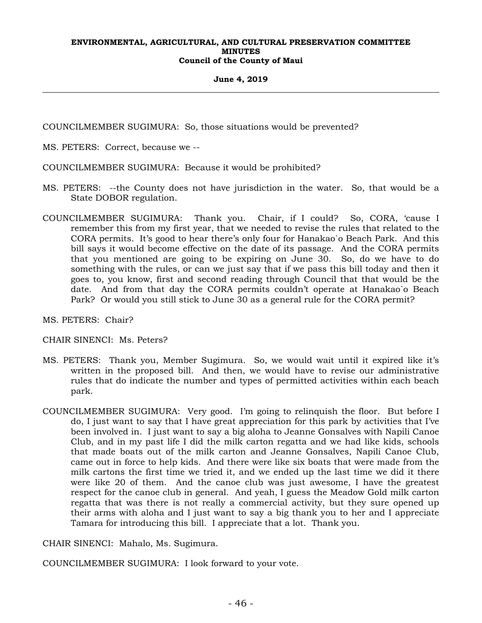#### **June 4, 2019**

COUNCILMEMBER SUGIMURA: So, those situations would be prevented?

MS. PETERS: Correct, because we --

COUNCILMEMBER SUGIMURA: Because it would be prohibited?

- MS. PETERS: --the County does not have jurisdiction in the water. So, that would be a State DOBOR regulation.
- COUNCILMEMBER SUGIMURA: Thank you. Chair, if I could? So, CORA, 'cause I remember this from my first year, that we needed to revise the rules that related to the CORA permits. It's good to hear there's only four for Hanakao`o Beach Park. And this bill says it would become effective on the date of its passage. And the CORA permits that you mentioned are going to be expiring on June 30. So, do we have to do something with the rules, or can we just say that if we pass this bill today and then it goes to, you know, first and second reading through Council that that would be the date. And from that day the CORA permits couldn't operate at Hanakao`o Beach Park? Or would you still stick to June 30 as a general rule for the CORA permit?

MS. PETERS: Chair?

CHAIR SINENCI: Ms. Peters?

- MS. PETERS: Thank you, Member Sugimura. So, we would wait until it expired like it's written in the proposed bill. And then, we would have to revise our administrative rules that do indicate the number and types of permitted activities within each beach park.
- COUNCILMEMBER SUGIMURA: Very good. I'm going to relinquish the floor. But before I do, I just want to say that I have great appreciation for this park by activities that I've been involved in. I just want to say a big aloha to Jeanne Gonsalves with Napili Canoe Club, and in my past life I did the milk carton regatta and we had like kids, schools that made boats out of the milk carton and Jeanne Gonsalves, Napili Canoe Club, came out in force to help kids. And there were like six boats that were made from the milk cartons the first time we tried it, and we ended up the last time we did it there were like 20 of them. And the canoe club was just awesome, I have the greatest respect for the canoe club in general. And yeah, I guess the Meadow Gold milk carton regatta that was there is not really a commercial activity, but they sure opened up their arms with aloha and I just want to say a big thank you to her and I appreciate Tamara for introducing this bill. I appreciate that a lot. Thank you.

CHAIR SINENCI: Mahalo, Ms. Sugimura.

COUNCILMEMBER SUGIMURA: I look forward to your vote.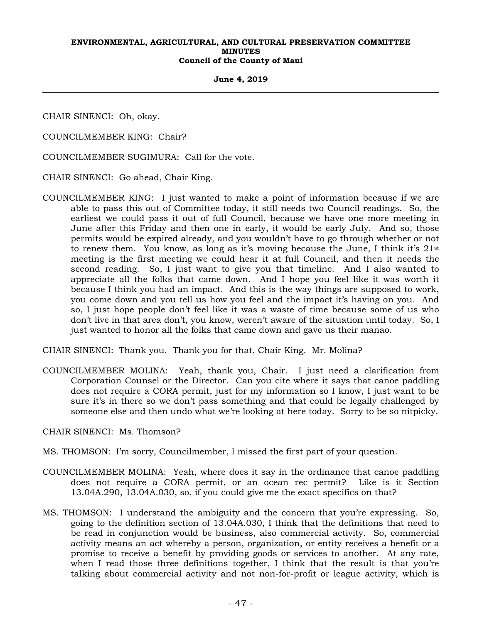#### **June 4, 2019**

CHAIR SINENCI: Oh, okay.

COUNCILMEMBER KING: Chair?

COUNCILMEMBER SUGIMURA: Call for the vote.

CHAIR SINENCI: Go ahead, Chair King.

COUNCILMEMBER KING: I just wanted to make a point of information because if we are able to pass this out of Committee today, it still needs two Council readings. So, the earliest we could pass it out of full Council, because we have one more meeting in June after this Friday and then one in early, it would be early July. And so, those permits would be expired already, and you wouldn't have to go through whether or not to renew them. You know, as long as it's moving because the June, I think it's  $21^{st}$ meeting is the first meeting we could hear it at full Council, and then it needs the second reading. So, I just want to give you that timeline. And I also wanted to appreciate all the folks that came down. And I hope you feel like it was worth it because I think you had an impact. And this is the way things are supposed to work, you come down and you tell us how you feel and the impact it's having on you. And so, I just hope people don't feel like it was a waste of time because some of us who don't live in that area don't, you know, weren't aware of the situation until today. So, I just wanted to honor all the folks that came down and gave us their manao.

CHAIR SINENCI: Thank you. Thank you for that, Chair King. Mr. Molina?

COUNCILMEMBER MOLINA: Yeah, thank you, Chair. I just need a clarification from Corporation Counsel or the Director. Can you cite where it says that canoe paddling does not require a CORA permit, just for my information so I know, I just want to be sure it's in there so we don't pass something and that could be legally challenged by someone else and then undo what we're looking at here today. Sorry to be so nitpicky.

CHAIR SINENCI: Ms. Thomson?

- MS. THOMSON: I'm sorry, Councilmember, I missed the first part of your question.
- COUNCILMEMBER MOLINA: Yeah, where does it say in the ordinance that canoe paddling does not require a CORA permit, or an ocean rec permit? Like is it Section 13.04A.290, 13.04A.030, so, if you could give me the exact specifics on that?
- MS. THOMSON: I understand the ambiguity and the concern that you're expressing. So, going to the definition section of 13.04A.030, I think that the definitions that need to be read in conjunction would be business, also commercial activity. So, commercial activity means an act whereby a person, organization, or entity receives a benefit or a promise to receive a benefit by providing goods or services to another. At any rate, when I read those three definitions together, I think that the result is that you're talking about commercial activity and not non-for-profit or league activity, which is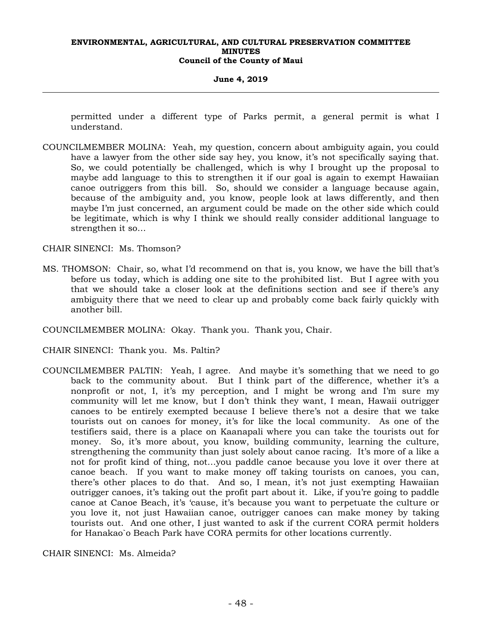#### **June 4, 2019**

permitted under a different type of Parks permit, a general permit is what I understand.

COUNCILMEMBER MOLINA: Yeah, my question, concern about ambiguity again, you could have a lawyer from the other side say hey, you know, it's not specifically saying that. So, we could potentially be challenged, which is why I brought up the proposal to maybe add language to this to strengthen it if our goal is again to exempt Hawaiian canoe outriggers from this bill. So, should we consider a language because again, because of the ambiguity and, you know, people look at laws differently, and then maybe I'm just concerned, an argument could be made on the other side which could be legitimate, which is why I think we should really consider additional language to strengthen it so…

CHAIR SINENCI: Ms. Thomson?

- MS. THOMSON: Chair, so, what I'd recommend on that is, you know, we have the bill that's before us today, which is adding one site to the prohibited list. But I agree with you that we should take a closer look at the definitions section and see if there's any ambiguity there that we need to clear up and probably come back fairly quickly with another bill.
- COUNCILMEMBER MOLINA: Okay. Thank you. Thank you, Chair.
- CHAIR SINENCI: Thank you. Ms. Paltin?
- COUNCILMEMBER PALTIN: Yeah, I agree. And maybe it's something that we need to go back to the community about. But I think part of the difference, whether it's a nonprofit or not, I, it's my perception, and I might be wrong and I'm sure my community will let me know, but I don't think they want, I mean, Hawaii outrigger canoes to be entirely exempted because I believe there's not a desire that we take tourists out on canoes for money, it's for like the local community. As one of the testifiers said, there is a place on Kaanapali where you can take the tourists out for money. So, it's more about, you know, building community, learning the culture, strengthening the community than just solely about canoe racing. It's more of a like a not for profit kind of thing, not…you paddle canoe because you love it over there at canoe beach. If you want to make money off taking tourists on canoes, you can, there's other places to do that. And so, I mean, it's not just exempting Hawaiian outrigger canoes, it's taking out the profit part about it. Like, if you're going to paddle canoe at Canoe Beach, it's 'cause, it's because you want to perpetuate the culture or you love it, not just Hawaiian canoe, outrigger canoes can make money by taking tourists out. And one other, I just wanted to ask if the current CORA permit holders for Hanakao`o Beach Park have CORA permits for other locations currently.

CHAIR SINENCI: Ms. Almeida?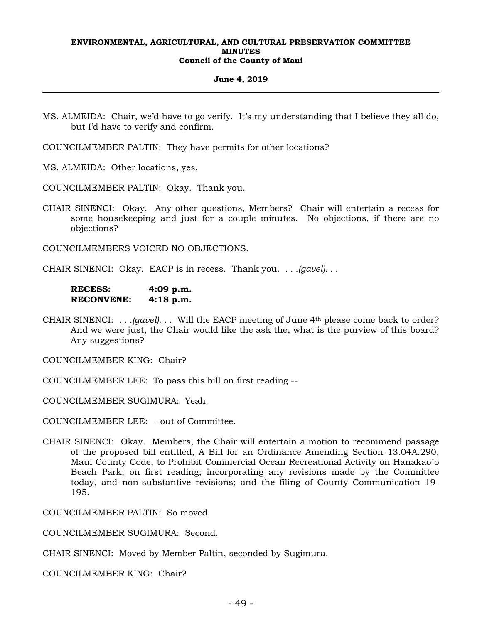#### **June 4, 2019**

- MS. ALMEIDA: Chair, we'd have to go verify. It's my understanding that I believe they all do, but I'd have to verify and confirm.
- COUNCILMEMBER PALTIN: They have permits for other locations?

MS. ALMEIDA: Other locations, yes.

COUNCILMEMBER PALTIN: Okay. Thank you.

CHAIR SINENCI: Okay. Any other questions, Members? Chair will entertain a recess for some housekeeping and just for a couple minutes. No objections, if there are no objections?

COUNCILMEMBERS VOICED NO OBJECTIONS.

CHAIR SINENCI: Okay. EACP is in recess. Thank you. *. . .(gavel). . .* 

**RECESS: 4:09 p.m. RECONVENE: 4:18 p.m.** 

CHAIR SINENCI: *. . .(gavel). . .* Will the EACP meeting of June 4th please come back to order? And we were just, the Chair would like the ask the, what is the purview of this board? Any suggestions?

COUNCILMEMBER KING: Chair?

COUNCILMEMBER LEE: To pass this bill on first reading --

COUNCILMEMBER SUGIMURA: Yeah.

COUNCILMEMBER LEE: --out of Committee.

CHAIR SINENCI: Okay. Members, the Chair will entertain a motion to recommend passage of the proposed bill entitled, A Bill for an Ordinance Amending Section 13.04A.290, Maui County Code, to Prohibit Commercial Ocean Recreational Activity on Hanakao`o Beach Park; on first reading; incorporating any revisions made by the Committee today, and non-substantive revisions; and the filing of County Communication 19- 195.

COUNCILMEMBER PALTIN: So moved.

COUNCILMEMBER SUGIMURA: Second.

CHAIR SINENCI: Moved by Member Paltin, seconded by Sugimura.

COUNCILMEMBER KING: Chair?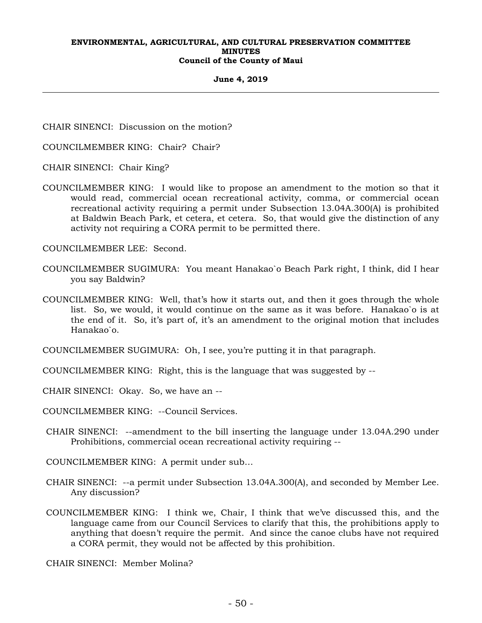#### **June 4, 2019**

CHAIR SINENCI: Discussion on the motion?

COUNCILMEMBER KING: Chair? Chair?

CHAIR SINENCI: Chair King?

COUNCILMEMBER KING: I would like to propose an amendment to the motion so that it would read, commercial ocean recreational activity, comma, or commercial ocean recreational activity requiring a permit under Subsection 13.04A.300(A) is prohibited at Baldwin Beach Park, et cetera, et cetera. So, that would give the distinction of any activity not requiring a CORA permit to be permitted there.

COUNCILMEMBER LEE: Second.

- COUNCILMEMBER SUGIMURA: You meant Hanakao`o Beach Park right, I think, did I hear you say Baldwin?
- COUNCILMEMBER KING: Well, that's how it starts out, and then it goes through the whole list. So, we would, it would continue on the same as it was before. Hanakao`o is at the end of it. So, it's part of, it's an amendment to the original motion that includes Hanakao`o.

COUNCILMEMBER SUGIMURA: Oh, I see, you're putting it in that paragraph.

COUNCILMEMBER KING: Right, this is the language that was suggested by --

CHAIR SINENCI: Okay. So, we have an --

COUNCILMEMBER KING: --Council Services.

CHAIR SINENCI: --amendment to the bill inserting the language under 13.04A.290 under Prohibitions, commercial ocean recreational activity requiring --

COUNCILMEMBER KING: A permit under sub…

- CHAIR SINENCI: --a permit under Subsection 13.04A.300(A), and seconded by Member Lee. Any discussion?
- COUNCILMEMBER KING: I think we, Chair, I think that we've discussed this, and the language came from our Council Services to clarify that this, the prohibitions apply to anything that doesn't require the permit. And since the canoe clubs have not required a CORA permit, they would not be affected by this prohibition.

CHAIR SINENCI: Member Molina?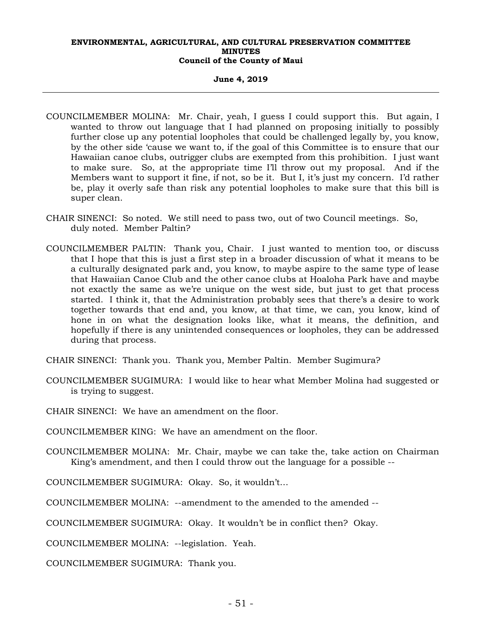#### **June 4, 2019**

- COUNCILMEMBER MOLINA: Mr. Chair, yeah, I guess I could support this. But again, I wanted to throw out language that I had planned on proposing initially to possibly further close up any potential loopholes that could be challenged legally by, you know, by the other side 'cause we want to, if the goal of this Committee is to ensure that our Hawaiian canoe clubs, outrigger clubs are exempted from this prohibition. I just want to make sure. So, at the appropriate time I'll throw out my proposal. And if the Members want to support it fine, if not, so be it. But I, it's just my concern. I'd rather be, play it overly safe than risk any potential loopholes to make sure that this bill is super clean.
- CHAIR SINENCI: So noted. We still need to pass two, out of two Council meetings. So, duly noted. Member Paltin?
- COUNCILMEMBER PALTIN: Thank you, Chair. I just wanted to mention too, or discuss that I hope that this is just a first step in a broader discussion of what it means to be a culturally designated park and, you know, to maybe aspire to the same type of lease that Hawaiian Canoe Club and the other canoe clubs at Hoaloha Park have and maybe not exactly the same as we're unique on the west side, but just to get that process started. I think it, that the Administration probably sees that there's a desire to work together towards that end and, you know, at that time, we can, you know, kind of hone in on what the designation looks like, what it means, the definition, and hopefully if there is any unintended consequences or loopholes, they can be addressed during that process.
- CHAIR SINENCI: Thank you. Thank you, Member Paltin. Member Sugimura?
- COUNCILMEMBER SUGIMURA: I would like to hear what Member Molina had suggested or is trying to suggest.
- CHAIR SINENCI: We have an amendment on the floor.
- COUNCILMEMBER KING: We have an amendment on the floor.
- COUNCILMEMBER MOLINA: Mr. Chair, maybe we can take the, take action on Chairman King's amendment, and then I could throw out the language for a possible --
- COUNCILMEMBER SUGIMURA: Okay. So, it wouldn't…
- COUNCILMEMBER MOLINA: --amendment to the amended to the amended --
- COUNCILMEMBER SUGIMURA: Okay. It wouldn't be in conflict then? Okay.
- COUNCILMEMBER MOLINA: --legislation. Yeah.

COUNCILMEMBER SUGIMURA: Thank you.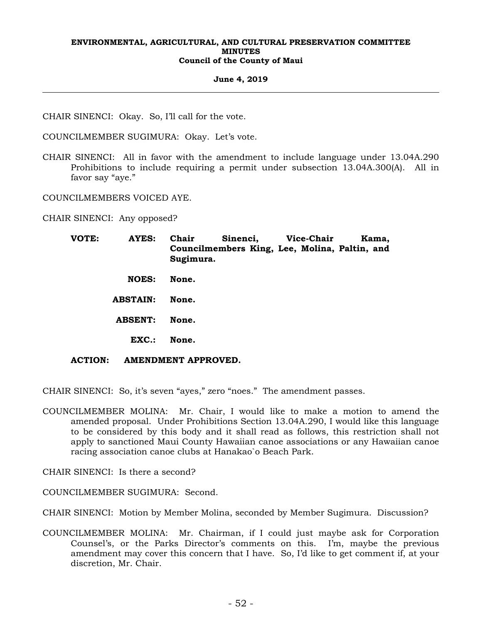#### **June 4, 2019**

CHAIR SINENCI: Okay. So, I'll call for the vote.

COUNCILMEMBER SUGIMURA: Okay. Let's vote.

CHAIR SINENCI: All in favor with the amendment to include language under 13.04A.290 Prohibitions to include requiring a permit under subsection 13.04A.300(A). All in favor say "aye."

COUNCILMEMBERS VOICED AYE.

CHAIR SINENCI: Any opposed?

| VOTE:          | <b>AYES:</b>    | Chair<br>Sinenci,<br>Councilmembers King, Lee, Molina, Paltin, and<br>Sugimura. |  |  | <b>Vice-Chair</b> | Kama, |  |  |
|----------------|-----------------|---------------------------------------------------------------------------------|--|--|-------------------|-------|--|--|
|                | <b>NOES:</b>    | None.                                                                           |  |  |                   |       |  |  |
|                | <b>ABSTAIN:</b> | None.                                                                           |  |  |                   |       |  |  |
|                | <b>ABSENT:</b>  | None.                                                                           |  |  |                   |       |  |  |
|                | EXC.            | None.                                                                           |  |  |                   |       |  |  |
| <b>ACTION:</b> |                 | AMENDMENT APPROVED.                                                             |  |  |                   |       |  |  |

CHAIR SINENCI: So, it's seven "ayes," zero "noes." The amendment passes.

COUNCILMEMBER MOLINA: Mr. Chair, I would like to make a motion to amend the amended proposal. Under Prohibitions Section 13.04A.290, I would like this language to be considered by this body and it shall read as follows, this restriction shall not apply to sanctioned Maui County Hawaiian canoe associations or any Hawaiian canoe racing association canoe clubs at Hanakao`o Beach Park.

CHAIR SINENCI: Is there a second?

COUNCILMEMBER SUGIMURA: Second.

CHAIR SINENCI: Motion by Member Molina, seconded by Member Sugimura. Discussion?

COUNCILMEMBER MOLINA: Mr. Chairman, if I could just maybe ask for Corporation Counsel's, or the Parks Director's comments on this. I'm, maybe the previous amendment may cover this concern that I have. So, I'd like to get comment if, at your discretion, Mr. Chair.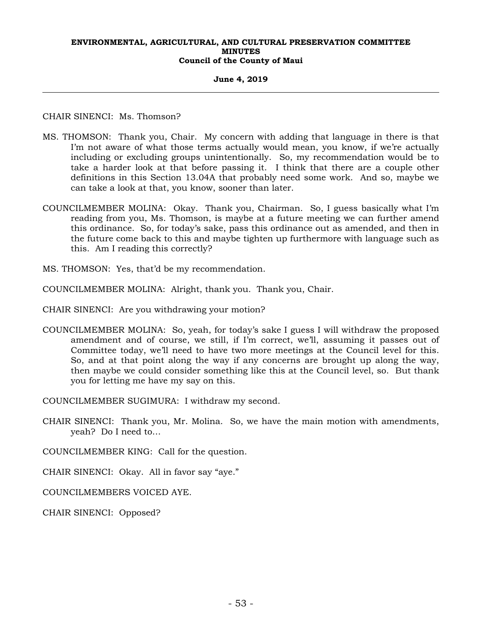#### **June 4, 2019**

CHAIR SINENCI: Ms. Thomson?

- MS. THOMSON: Thank you, Chair. My concern with adding that language in there is that I'm not aware of what those terms actually would mean, you know, if we're actually including or excluding groups unintentionally. So, my recommendation would be to take a harder look at that before passing it. I think that there are a couple other definitions in this Section 13.04A that probably need some work. And so, maybe we can take a look at that, you know, sooner than later.
- COUNCILMEMBER MOLINA: Okay. Thank you, Chairman. So, I guess basically what I'm reading from you, Ms. Thomson, is maybe at a future meeting we can further amend this ordinance. So, for today's sake, pass this ordinance out as amended, and then in the future come back to this and maybe tighten up furthermore with language such as this. Am I reading this correctly?
- MS. THOMSON: Yes, that'd be my recommendation.
- COUNCILMEMBER MOLINA: Alright, thank you. Thank you, Chair.
- CHAIR SINENCI: Are you withdrawing your motion?
- COUNCILMEMBER MOLINA: So, yeah, for today's sake I guess I will withdraw the proposed amendment and of course, we still, if I'm correct, we'll, assuming it passes out of Committee today, we'll need to have two more meetings at the Council level for this. So, and at that point along the way if any concerns are brought up along the way, then maybe we could consider something like this at the Council level, so. But thank you for letting me have my say on this.

COUNCILMEMBER SUGIMURA: I withdraw my second.

CHAIR SINENCI: Thank you, Mr. Molina. So, we have the main motion with amendments, yeah? Do I need to…

COUNCILMEMBER KING: Call for the question.

CHAIR SINENCI: Okay. All in favor say "aye."

COUNCILMEMBERS VOICED AYE.

CHAIR SINENCI: Opposed?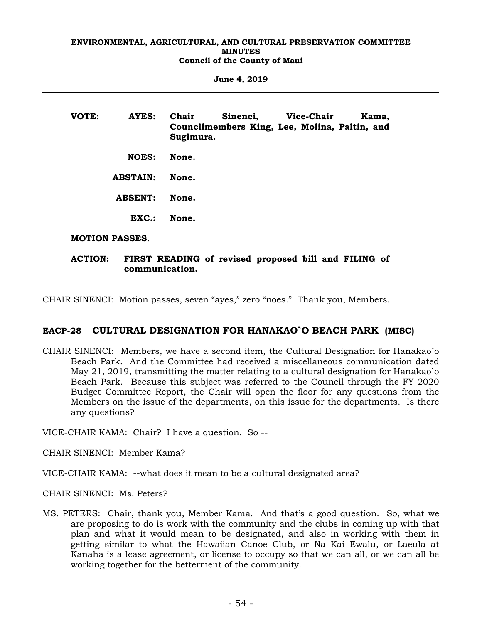**June 4, 2019** 

| VOTE: | AYES:                 | Chair<br>Sugimura. | Sinenci, Vice-Chair<br>Councilmembers King, Lee, Molina, Paltin, and |  | Kama, |
|-------|-----------------------|--------------------|----------------------------------------------------------------------|--|-------|
|       | <b>NOES:</b>          | None.              |                                                                      |  |       |
|       | <b>ABSTAIN:</b>       | None.              |                                                                      |  |       |
|       | <b>ABSENT:</b>        | None.              |                                                                      |  |       |
|       | EXC.                  | None.              |                                                                      |  |       |
|       | <b>MOTION PASSES.</b> |                    |                                                                      |  |       |

# **ACTION: FIRST READING of revised proposed bill and FILING of**

CHAIR SINENCI: Motion passes, seven "ayes," zero "noes." Thank you, Members.

# **EACP-28 CULTURAL DESIGNATION FOR HANAKAO`O BEACH PARK (MISC)**

CHAIR SINENCI: Members, we have a second item, the Cultural Designation for Hanakao`o Beach Park. And the Committee had received a miscellaneous communication dated May 21, 2019, transmitting the matter relating to a cultural designation for Hanakao`o Beach Park. Because this subject was referred to the Council through the FY 2020 Budget Committee Report, the Chair will open the floor for any questions from the Members on the issue of the departments, on this issue for the departments. Is there any questions?

VICE-CHAIR KAMA: Chair? I have a question. So --

**communication.** 

CHAIR SINENCI: Member Kama?

VICE-CHAIR KAMA: --what does it mean to be a cultural designated area?

CHAIR SINENCI: Ms. Peters?

MS. PETERS: Chair, thank you, Member Kama. And that's a good question. So, what we are proposing to do is work with the community and the clubs in coming up with that plan and what it would mean to be designated, and also in working with them in getting similar to what the Hawaiian Canoe Club, or Na Kai Ewalu, or Laeula at Kanaha is a lease agreement, or license to occupy so that we can all, or we can all be working together for the betterment of the community.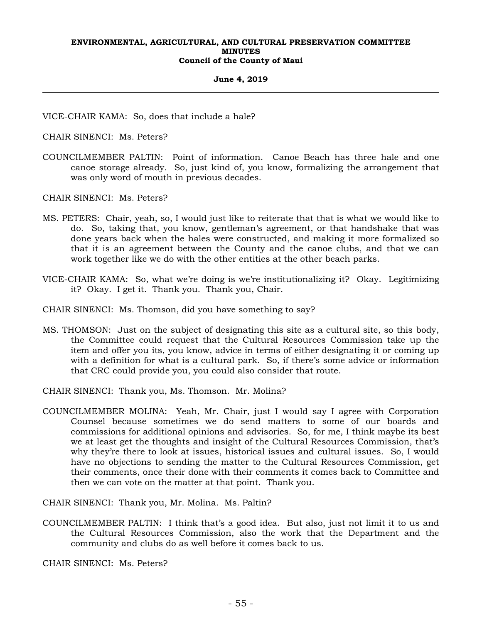#### **June 4, 2019**

VICE-CHAIR KAMA: So, does that include a hale?

CHAIR SINENCI: Ms. Peters?

COUNCILMEMBER PALTIN: Point of information. Canoe Beach has three hale and one canoe storage already. So, just kind of, you know, formalizing the arrangement that was only word of mouth in previous decades.

CHAIR SINENCI: Ms. Peters?

- MS. PETERS: Chair, yeah, so, I would just like to reiterate that that is what we would like to do. So, taking that, you know, gentleman's agreement, or that handshake that was done years back when the hales were constructed, and making it more formalized so that it is an agreement between the County and the canoe clubs, and that we can work together like we do with the other entities at the other beach parks.
- VICE-CHAIR KAMA: So, what we're doing is we're institutionalizing it? Okay. Legitimizing it? Okay. I get it. Thank you. Thank you, Chair.

CHAIR SINENCI: Ms. Thomson, did you have something to say?

MS. THOMSON: Just on the subject of designating this site as a cultural site, so this body, the Committee could request that the Cultural Resources Commission take up the item and offer you its, you know, advice in terms of either designating it or coming up with a definition for what is a cultural park. So, if there's some advice or information that CRC could provide you, you could also consider that route.

CHAIR SINENCI: Thank you, Ms. Thomson. Mr. Molina?

COUNCILMEMBER MOLINA: Yeah, Mr. Chair, just I would say I agree with Corporation Counsel because sometimes we do send matters to some of our boards and commissions for additional opinions and advisories. So, for me, I think maybe its best we at least get the thoughts and insight of the Cultural Resources Commission, that's why they're there to look at issues, historical issues and cultural issues. So, I would have no objections to sending the matter to the Cultural Resources Commission, get their comments, once their done with their comments it comes back to Committee and then we can vote on the matter at that point. Thank you.

CHAIR SINENCI: Thank you, Mr. Molina. Ms. Paltin?

COUNCILMEMBER PALTIN: I think that's a good idea. But also, just not limit it to us and the Cultural Resources Commission, also the work that the Department and the community and clubs do as well before it comes back to us.

CHAIR SINENCI: Ms. Peters?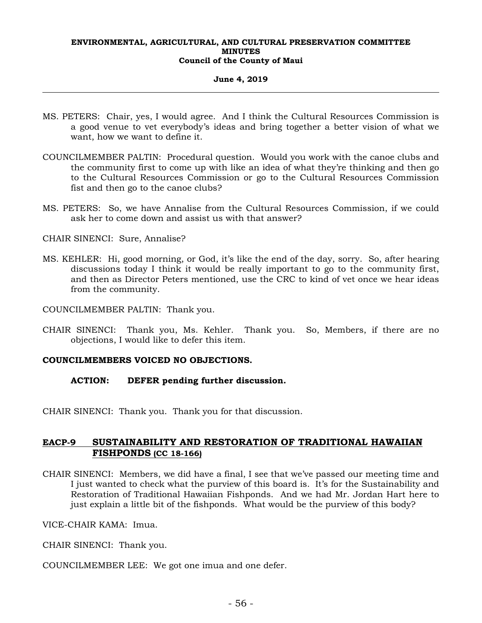#### **June 4, 2019**

- MS. PETERS: Chair, yes, I would agree. And I think the Cultural Resources Commission is a good venue to vet everybody's ideas and bring together a better vision of what we want, how we want to define it.
- COUNCILMEMBER PALTIN: Procedural question. Would you work with the canoe clubs and the community first to come up with like an idea of what they're thinking and then go to the Cultural Resources Commission or go to the Cultural Resources Commission fist and then go to the canoe clubs?
- MS. PETERS: So, we have Annalise from the Cultural Resources Commission, if we could ask her to come down and assist us with that answer?

CHAIR SINENCI: Sure, Annalise?

MS. KEHLER: Hi, good morning, or God, it's like the end of the day, sorry. So, after hearing discussions today I think it would be really important to go to the community first, and then as Director Peters mentioned, use the CRC to kind of vet once we hear ideas from the community.

COUNCILMEMBER PALTIN: Thank you.

CHAIR SINENCI: Thank you, Ms. Kehler. Thank you. So, Members, if there are no objections, I would like to defer this item.

#### **COUNCILMEMBERS VOICED NO OBJECTIONS.**

### **ACTION: DEFER pending further discussion.**

CHAIR SINENCI: Thank you. Thank you for that discussion.

# **EACP-9 SUSTAINABILITY AND RESTORATION OF TRADITIONAL HAWAIIAN FISHPONDS (CC 18-166)**

- CHAIR SINENCI: Members, we did have a final, I see that we've passed our meeting time and I just wanted to check what the purview of this board is. It's for the Sustainability and Restoration of Traditional Hawaiian Fishponds. And we had Mr. Jordan Hart here to just explain a little bit of the fishponds. What would be the purview of this body?
- VICE-CHAIR KAMA: Imua.
- CHAIR SINENCI: Thank you.
- COUNCILMEMBER LEE: We got one imua and one defer.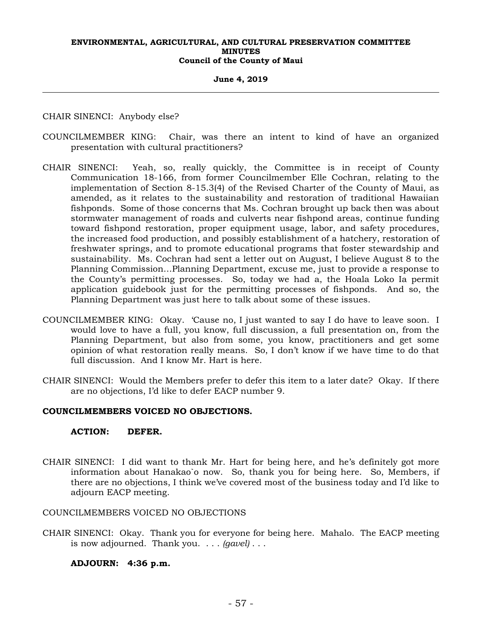#### **June 4, 2019**

CHAIR SINENCI: Anybody else?

- COUNCILMEMBER KING: Chair, was there an intent to kind of have an organized presentation with cultural practitioners?
- CHAIR SINENCI: Yeah, so, really quickly, the Committee is in receipt of County Communication 18-166, from former Councilmember Elle Cochran, relating to the implementation of Section 8-15.3(4) of the Revised Charter of the County of Maui, as amended, as it relates to the sustainability and restoration of traditional Hawaiian fishponds. Some of those concerns that Ms. Cochran brought up back then was about stormwater management of roads and culverts near fishpond areas, continue funding toward fishpond restoration, proper equipment usage, labor, and safety procedures, the increased food production, and possibly establishment of a hatchery, restoration of freshwater springs, and to promote educational programs that foster stewardship and sustainability. Ms. Cochran had sent a letter out on August, I believe August 8 to the Planning Commission…Planning Department, excuse me, just to provide a response to the County's permitting processes. So, today we had a, the Hoala Loko Ia permit application guidebook just for the permitting processes of fishponds. And so, the Planning Department was just here to talk about some of these issues.
- COUNCILMEMBER KING: Okay. 'Cause no, I just wanted to say I do have to leave soon. I would love to have a full, you know, full discussion, a full presentation on, from the Planning Department, but also from some, you know, practitioners and get some opinion of what restoration really means. So, I don't know if we have time to do that full discussion. And I know Mr. Hart is here.
- CHAIR SINENCI: Would the Members prefer to defer this item to a later date? Okay. If there are no objections, I'd like to defer EACP number 9.

## **COUNCILMEMBERS VOICED NO OBJECTIONS.**

#### **ACTION: DEFER.**

CHAIR SINENCI: I did want to thank Mr. Hart for being here, and he's definitely got more information about Hanakao`o now. So, thank you for being here. So, Members, if there are no objections, I think we've covered most of the business today and I'd like to adjourn EACP meeting.

COUNCILMEMBERS VOICED NO OBJECTIONS

CHAIR SINENCI: Okay. Thank you for everyone for being here. Mahalo. The EACP meeting is now adjourned. Thank you. . . . *(gavel)* . . .

#### **ADJOURN: 4:36 p.m.**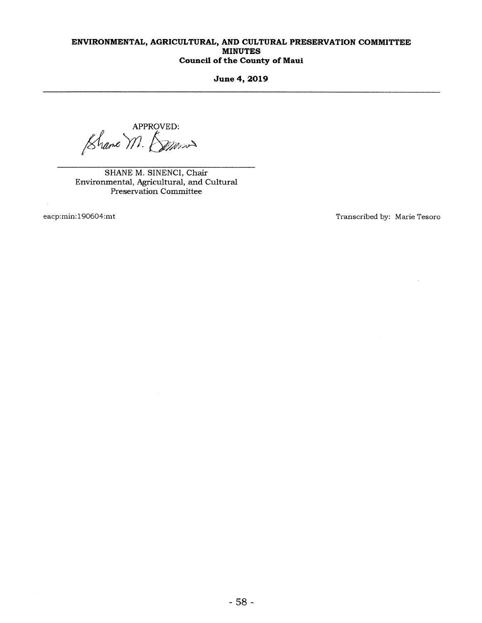June 4, 2019

APPROVED:<br>N. *Seppos* 

SHANE M. SINENCI, Chair Environmental, Agricultural, and Cultural Preservation Committee

eacp:min:190604:mt Transcribed by: Marie Tesoro